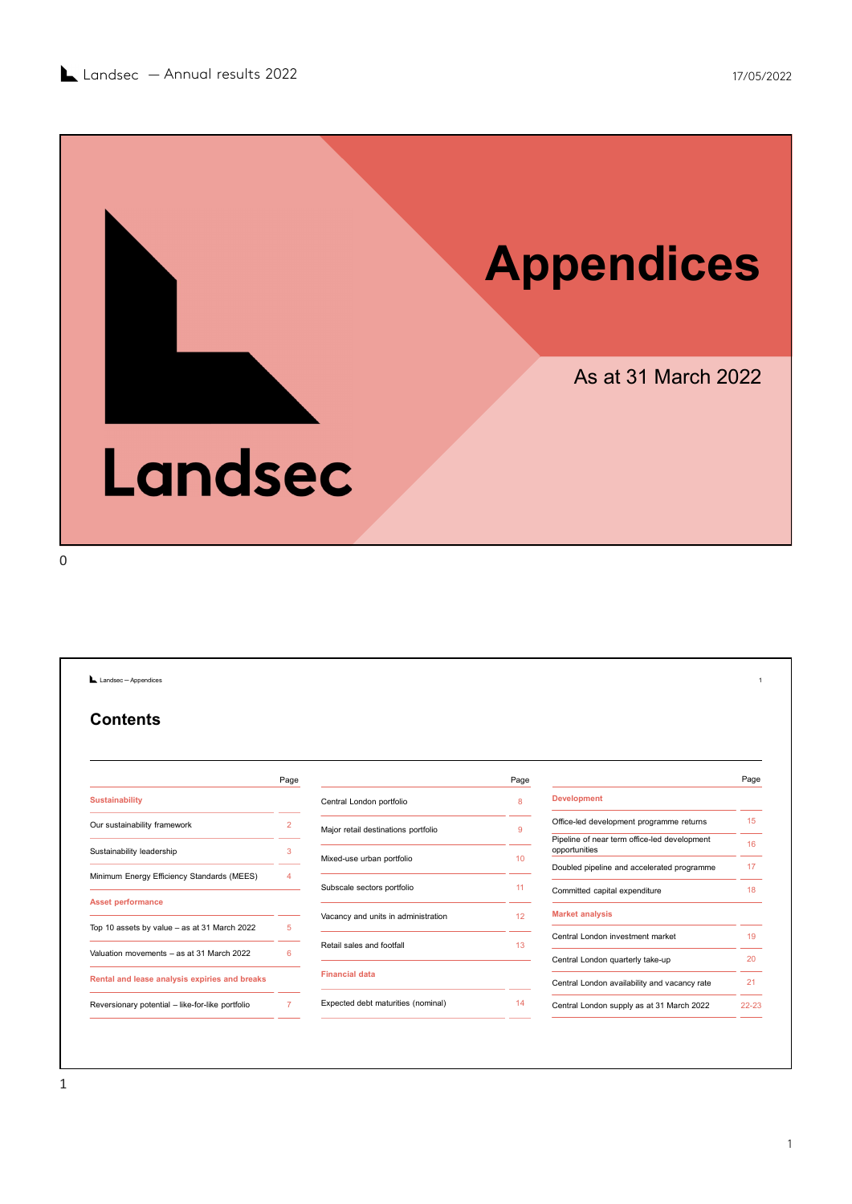

Landsec - Appendices **Contents** Page **Page 2018** Sustainability Our sustainability framework and the state of 2 and 2 Major retail destinations portfolio Sustainability leadership 3<br>
Mixed-use urban portfolio 10<br>
Mixed-use urban portfolio Minimum Energy Efficiency Standards (MEES) 4<br>
Subscale sectors portfolio 11 Asset performance Top 10 assets by value – as at 31 March 2022 6<br>
Top 10 assets by value – as at 31 March 2022 6<br>
National and lease analysis expiriments and breaks and breaks and breaks and development and lease analysis experiments of the Contenting Eurasian ability<br>
Sustainability<br>
Central London portfolio & Development<br>
Sustainability basket<br>
Sustainability basket<br>
Sustainability basket<br>
Major critics and provide the content of the content of the Content Page **Page 2018** Central London portfolio 8 Major retail destinations portfolio 9 Mixed-use urban portfolio **10**<br>
Mixed-use urban portfolio **10**<br>
Doubled pipeline and accelerated programme 17 Subscale sectors portfolio and the sector of the Committed capital expenditure the the sectors of the sector of the Committed capital expenditure of the sectors of the sector of the sector of the committed capital expendit Vacancy and units in administration 12 Retail sales and footfall **13** Financial data Expected debt maturities (nominal) 14 Central London supply as at 31 March 2022 22-23 Page and the page of the state of the state of the state of the state of the state of the state of the state of the state of the state of the state of the state of the state of the state of the state of the state of the st Development Office-led development programme returns 15 Pipeline of near term office-led development proportunities 16 and 16 and 16 and 16 approximately 16 and 16 approximately 16 and 16 and 16 and 16 and 16 and 16 and 16 and 16 and 16 and 16 and 16 and 16 and 16 and 16 and 16 and 16 and 16 and 16 and 16 and 16 and 16 an Doubled pipeline and accelerated programme 17 Market analysis Central London investment market 19 Central London quarterly take-up 20 Central London availability and vacancy rate 21 ─ Appendices 1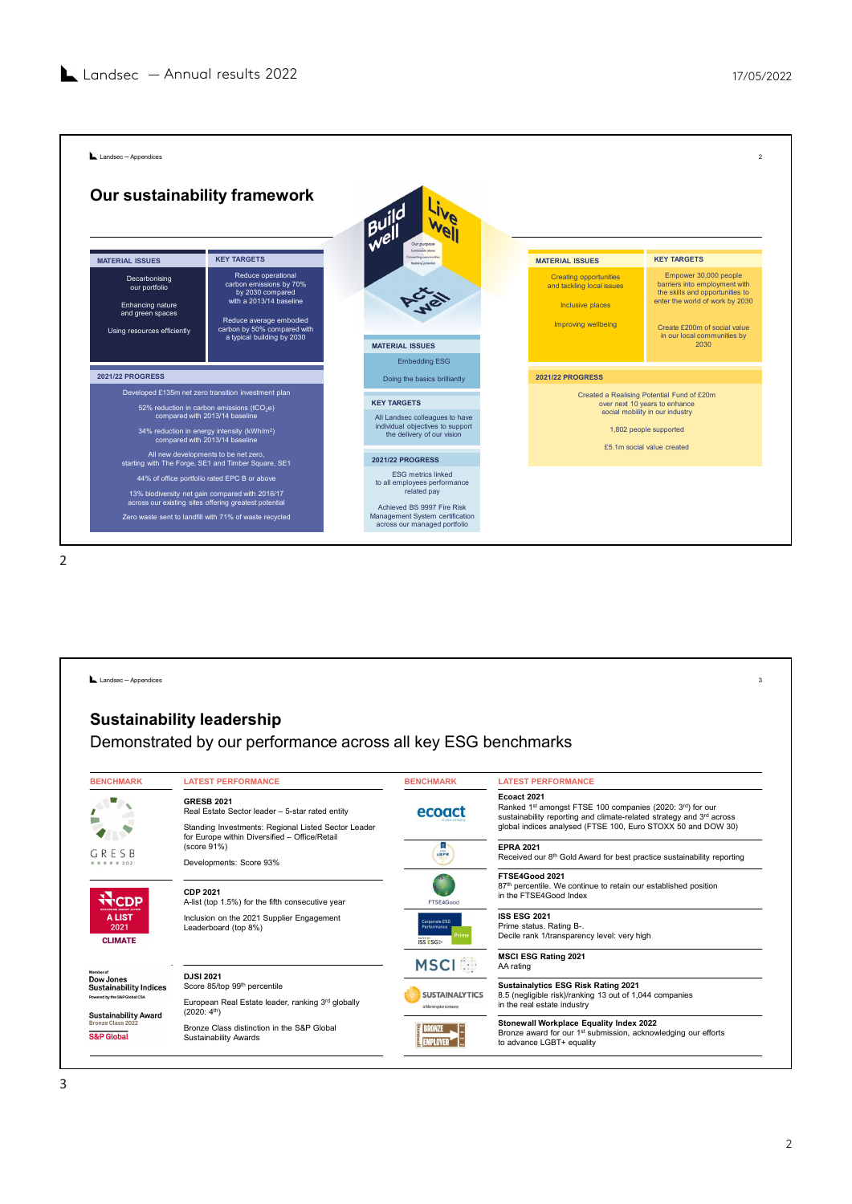

|                                                                                                            | compared with 2013/14 baseline<br>34% reduction in energy intensity (kWh/m <sup>2</sup> )<br>compared with 2013/14 baseline<br>All new developments to be net zero,<br>starting with The Forge, SE1 and Timber Square, SE1<br>44% of office portfolio rated EPC B or above<br>13% biodiversity net gain compared with 2016/17<br>across our existing sites offering greatest potential<br>Zero waste sent to landfill with 71% of waste recycled | All Landsec colleagues to have<br>individual objectives to support<br>the delivery of our vision<br><b>2021/22 PROGRESS</b><br><b>ESG</b> metrics linked<br>to all employees performance<br>related pay<br>Achieved BS 9997 Fire Risk<br>Management System certification<br>across our managed portfolio | social mobility in our industry<br>1,802 people supported<br>£5.1m social value created                                                                                                                          |
|------------------------------------------------------------------------------------------------------------|--------------------------------------------------------------------------------------------------------------------------------------------------------------------------------------------------------------------------------------------------------------------------------------------------------------------------------------------------------------------------------------------------------------------------------------------------|----------------------------------------------------------------------------------------------------------------------------------------------------------------------------------------------------------------------------------------------------------------------------------------------------------|------------------------------------------------------------------------------------------------------------------------------------------------------------------------------------------------------------------|
| Landsec - Appendices                                                                                       |                                                                                                                                                                                                                                                                                                                                                                                                                                                  |                                                                                                                                                                                                                                                                                                          |                                                                                                                                                                                                                  |
|                                                                                                            | Demonstrated by our performance across all key ESG benchmarks                                                                                                                                                                                                                                                                                                                                                                                    |                                                                                                                                                                                                                                                                                                          |                                                                                                                                                                                                                  |
|                                                                                                            | <b>LATEST PERFORMANCE</b>                                                                                                                                                                                                                                                                                                                                                                                                                        | <b>BENCHMARK</b>                                                                                                                                                                                                                                                                                         | <b>LATEST PERFORMANCE</b>                                                                                                                                                                                        |
|                                                                                                            | <b>GRESB 2021</b><br>Real Estate Sector leader - 5-star rated entity<br>Standing Investments: Regional Listed Sector Leader                                                                                                                                                                                                                                                                                                                      | ecoact                                                                                                                                                                                                                                                                                                   | Ecoact 2021<br>Ranked 1st amongst FTSE 100 companies (2020: 3rd) for our<br>sustainability reporting and climate-related strategy and 3rd across<br>global indices analysed (FTSE 100, Euro STOXX 50 and DOW 30) |
| # 2021                                                                                                     | for Europe within Diversified - Office/Retail<br>(score 91%)<br>Developments: Score 93%                                                                                                                                                                                                                                                                                                                                                          | <b>B</b><br><b>SBPR</b>                                                                                                                                                                                                                                                                                  | <b>EPRA 2021</b><br>Received our 8 <sup>th</sup> Gold Award for best practice sustainability reporting                                                                                                           |
| <b>N</b> -CDP                                                                                              | <b>CDP 2021</b><br>A-list (top 1.5%) for the fifth consecutive year                                                                                                                                                                                                                                                                                                                                                                              | FTSE4Good                                                                                                                                                                                                                                                                                                | FTSE4Good 2021<br>87th percentile. We continue to retain our established position<br>in the FTSE4Good Index                                                                                                      |
| <b>ALIST</b><br>2021<br><b>CLIMATE</b>                                                                     | Inclusion on the 2021 Supplier Engagement<br>Leaderboard (top 8%)                                                                                                                                                                                                                                                                                                                                                                                | rporate ESG<br>ISSESG                                                                                                                                                                                                                                                                                    | <b>ISS ESG 2021</b><br>Prime status. Rating B-.<br>Decile rank 1/transparency level: very high                                                                                                                   |
| <b>Sustainability leadership</b><br><b>BENCHMARK</b><br>GRESB                                              |                                                                                                                                                                                                                                                                                                                                                                                                                                                  | <b>MSCI</b>                                                                                                                                                                                                                                                                                              | <b>MSCI ESG Rating 2021</b><br>AA rating                                                                                                                                                                         |
| Dow Jones<br><b>Sustainability Indices</b><br>Powered by the S&P Global CSA<br><b>Sustainability Award</b> | <b>DJSI 2021</b><br>Score 85/top 99th percentile<br>European Real Estate leader, ranking 3rd globally<br>(2020: 4 <sup>th</sup> )                                                                                                                                                                                                                                                                                                                | <b>SUSTAINALYTICS</b><br>a Momingstar company                                                                                                                                                                                                                                                            | Sustainalytics ESG Risk Rating 2021<br>8.5 (negligible risk)/ranking 13 out of 1,044 companies<br>in the real estate industry                                                                                    |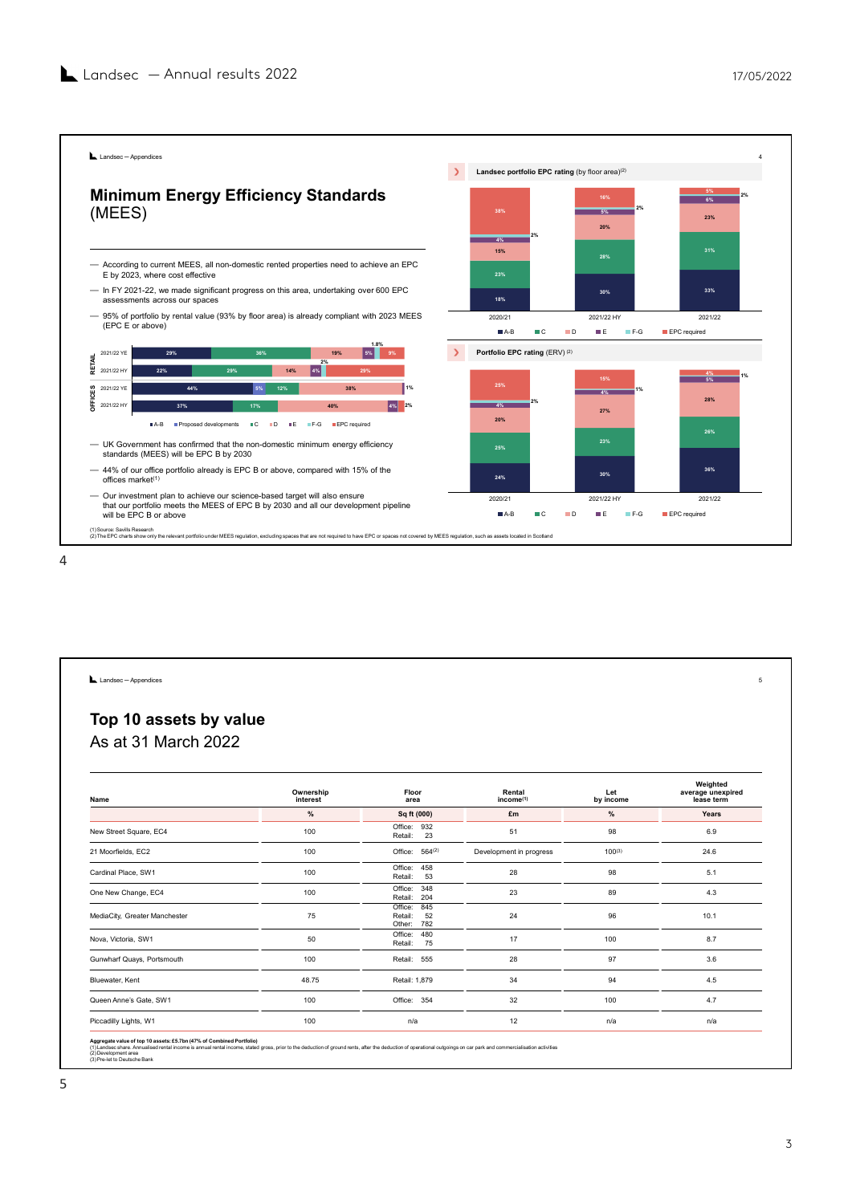

| Top 10 assets by value |  |  |
|------------------------|--|--|
| As at 31 March 2022    |  |  |
|                        |  |  |

| stariuarus (MEEO) Will be EFC D by 2000                                                                                                                                                                                                                                                   |                       |                               |                                      |                                                |                                 |
|-------------------------------------------------------------------------------------------------------------------------------------------------------------------------------------------------------------------------------------------------------------------------------------------|-----------------------|-------------------------------|--------------------------------------|------------------------------------------------|---------------------------------|
| - 44% of our office portfolio already is EPC B or above, compared with 15% of the<br>offices market <sup>(1)</sup>                                                                                                                                                                        |                       |                               | 24%                                  | 30%                                            | 36%                             |
| - Our investment plan to achieve our science-based target will also ensure<br>that our portfolio meets the MEES of EPC B by 2030 and all our development pipeline<br>will be EPC B or above                                                                                               |                       |                               | 2020/21<br>$A-B$<br>$\blacksquare$ C | 2021/22 HY<br>$\blacksquare$<br>III E<br>$F-G$ | 2021/22<br>EPC required         |
| (1) Source: Savills Research<br>(2) The EPC charts show only the relevant portfolio under MEES regulation, excluding spaces that are not required to have EPC or spaces not covered by MEES regulation, such as assets located in Scotland                                                |                       |                               |                                      |                                                |                                 |
|                                                                                                                                                                                                                                                                                           |                       |                               |                                      |                                                |                                 |
|                                                                                                                                                                                                                                                                                           |                       |                               |                                      |                                                |                                 |
|                                                                                                                                                                                                                                                                                           |                       |                               |                                      |                                                |                                 |
|                                                                                                                                                                                                                                                                                           |                       |                               |                                      |                                                |                                 |
|                                                                                                                                                                                                                                                                                           |                       |                               |                                      |                                                |                                 |
|                                                                                                                                                                                                                                                                                           |                       |                               |                                      |                                                |                                 |
|                                                                                                                                                                                                                                                                                           |                       |                               |                                      |                                                |                                 |
|                                                                                                                                                                                                                                                                                           |                       |                               |                                      |                                                |                                 |
| Landsec - Appendices                                                                                                                                                                                                                                                                      |                       |                               |                                      |                                                |                                 |
|                                                                                                                                                                                                                                                                                           |                       |                               |                                      |                                                |                                 |
| Top 10 assets by value                                                                                                                                                                                                                                                                    |                       |                               |                                      |                                                |                                 |
| As at 31 March 2022                                                                                                                                                                                                                                                                       |                       |                               |                                      |                                                |                                 |
|                                                                                                                                                                                                                                                                                           |                       |                               |                                      |                                                |                                 |
|                                                                                                                                                                                                                                                                                           |                       |                               |                                      |                                                |                                 |
|                                                                                                                                                                                                                                                                                           |                       |                               | Rental                               |                                                | Weighted                        |
| Name                                                                                                                                                                                                                                                                                      | Ownership<br>interest | Floor<br>area                 | income <sup>(1)</sup>                | Let<br>by income                               | average unexpired<br>lease term |
|                                                                                                                                                                                                                                                                                           | $\%$                  | Sq ft (000)                   | £m                                   | $\%$                                           | Years                           |
| New Street Square, EC4                                                                                                                                                                                                                                                                    | 100                   | Office: 932<br>Retail:<br>23  | 51                                   | 98                                             | 6.9                             |
| 21 Moorfields, EC2                                                                                                                                                                                                                                                                        | 100                   | Office: $564^{(2)}$           | Development in progress              | $100^{(3)}$                                    | 24.6                            |
| Cardinal Place, SW1                                                                                                                                                                                                                                                                       | 100                   | Office: 458                   | 28                                   | 98                                             | 5.1                             |
|                                                                                                                                                                                                                                                                                           | 100                   | Retail:<br>53<br>Office: 348  | 23                                   | 89                                             | 4.3                             |
| One New Change, EC4                                                                                                                                                                                                                                                                       |                       | 204<br>Retail:<br>Office: 845 |                                      |                                                |                                 |
| MediaCity, Greater Manchester                                                                                                                                                                                                                                                             | 75                    | 52<br>Retail:<br>Other: 782   | 24                                   | 96                                             | 10.1                            |
| Nova, Victoria, SW1                                                                                                                                                                                                                                                                       | 50                    | Office:<br>480                | 17                                   | 100                                            | 8.7                             |
| Gunwharf Quays, Portsmouth                                                                                                                                                                                                                                                                | 100                   | Retail:<br>75<br>Retail: 555  | 28                                   | 97                                             | 3.6                             |
|                                                                                                                                                                                                                                                                                           |                       |                               |                                      |                                                |                                 |
| Bluewater, Kent                                                                                                                                                                                                                                                                           | 48.75                 | Retail: 1,879                 | 34                                   | 94                                             | 4.5                             |
| Queen Anne's Gate, SW1                                                                                                                                                                                                                                                                    | 100                   | Office: 354                   | 32                                   | 100                                            | 4.7                             |
| Piccadilly Lights, W1                                                                                                                                                                                                                                                                     | 100                   | n/a                           | 12                                   | n/a                                            | n/a                             |
|                                                                                                                                                                                                                                                                                           |                       |                               |                                      |                                                |                                 |
| Aggregate value of top 10 assets: £5.7bn (47% of Combined Portfolio)<br>(1) Landsecshare. Annualised rental income is annual rental income, stated gross, prior to the deduction of ground rents, after the deduction of operatio<br>(2) Development area<br>(3) Pre-let to Deutsche Bank |                       |                               |                                      |                                                |                                 |
|                                                                                                                                                                                                                                                                                           |                       |                               |                                      |                                                |                                 |
|                                                                                                                                                                                                                                                                                           |                       |                               |                                      |                                                |                                 |
|                                                                                                                                                                                                                                                                                           |                       |                               |                                      |                                                |                                 |
|                                                                                                                                                                                                                                                                                           |                       |                               |                                      |                                                |                                 |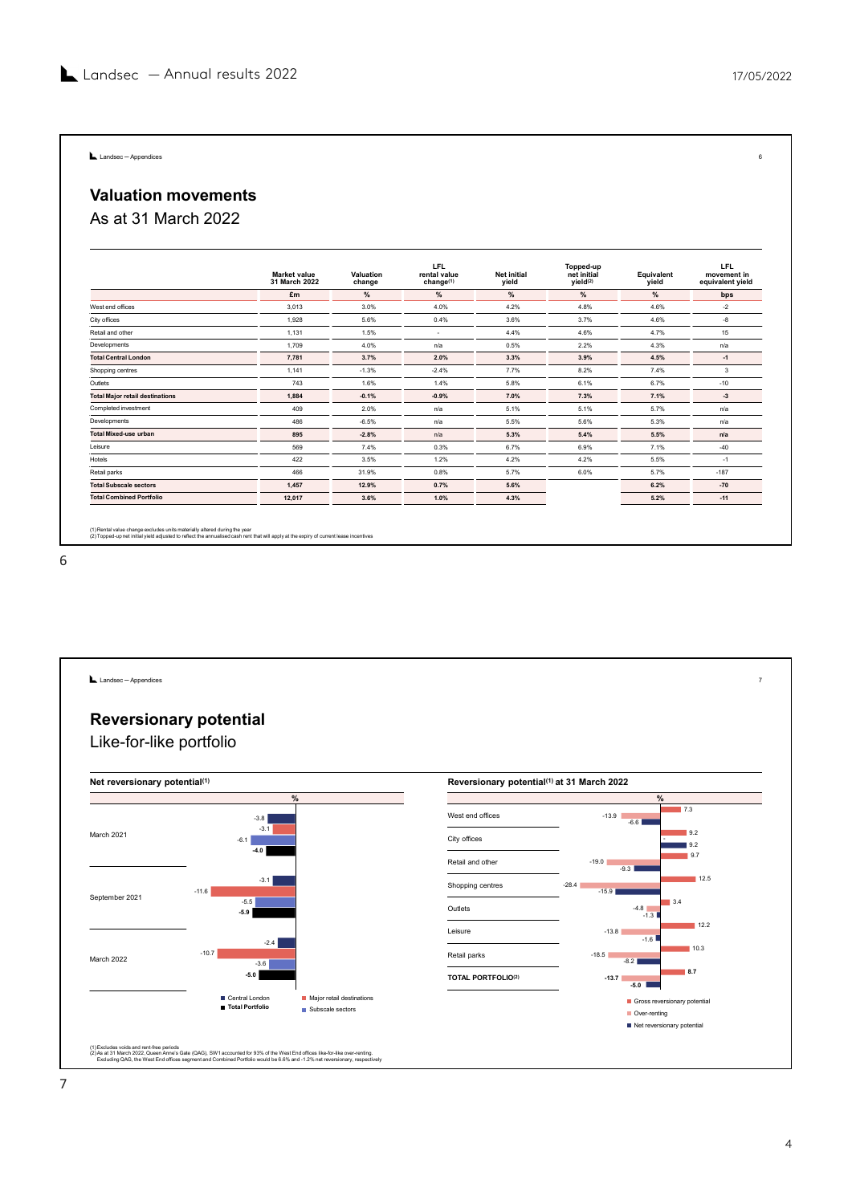## Valuation movements **L** Landsec-Appendices<br>**Valuation movements**<br>As at 31 March 2022

|                                               |                                      |                     |                                                     |                             |                                                  |                     | 17/05/2022                                    |
|-----------------------------------------------|--------------------------------------|---------------------|-----------------------------------------------------|-----------------------------|--------------------------------------------------|---------------------|-----------------------------------------------|
|                                               |                                      |                     |                                                     |                             |                                                  |                     |                                               |
|                                               |                                      |                     |                                                     |                             |                                                  |                     |                                               |
| Landsec - Appendices                          |                                      |                     |                                                     |                             |                                                  |                     | 6                                             |
| <b>Valuation movements</b>                    |                                      |                     |                                                     |                             |                                                  |                     |                                               |
|                                               |                                      |                     |                                                     |                             |                                                  |                     |                                               |
| As at 31 March 2022                           |                                      |                     |                                                     |                             |                                                  |                     |                                               |
|                                               | <b>Market value</b><br>31 March 2022 | Valuation<br>change | <b>LFL</b><br>rental value<br>change <sup>(1)</sup> | <b>Net initial</b><br>yield | Topped-up<br>net initial<br>yield <sup>(2)</sup> | Equivalent<br>yield | <b>LFL</b><br>movement in<br>equivalent yield |
|                                               | £m                                   | %                   | %                                                   | $\%$                        | $\%$                                             | $\%$                | bps                                           |
| West end offices                              | 3,013                                | 3.0%                | 4.0%                                                | 4.2%                        | 4.8%                                             | 4.6%                | $-2$                                          |
|                                               | 1,928                                | 5.6%                | 0.4%                                                | 3.6%                        | 3.7%                                             | 4.6%                | -8                                            |
| City offices                                  |                                      |                     |                                                     | 4.4%                        | 4.6%                                             | 4.7%                | 15                                            |
|                                               | 1,131                                | 1.5%                | $\sim$                                              |                             |                                                  |                     |                                               |
| Retail and other                              | 1,709                                | 4.0%                | n/a                                                 | 0.5%                        | 2.2%                                             | 4.3%                | n/a                                           |
| Developments<br><b>Total Central London</b>   | 7,781                                | 3.7%                | 2.0%                                                | 3.3%                        | 3.9%                                             | 4.5%                | $-1$                                          |
| Shopping centres                              | 1,141                                | $-1.3%$             | $-2.4%$                                             | 7.7%                        | 8.2%                                             | 7.4%                | $\mathbf{3}$                                  |
| Outlets                                       | 743                                  | 1.6%                | 1.4%                                                | 5.8%                        | 6.1%                                             | 6.7%                | $-10$                                         |
| <b>Total Major retail destinations</b>        | 1,884                                | $-0.1%$             | $-0.9%$                                             | 7.0%                        | 7.3%                                             | 7.1%                | $-3$                                          |
| Completed investment                          | 409                                  | 2.0%                | n/a                                                 | 5.1%                        | 5.1%                                             | 5.7%                | n/a                                           |
| Developments                                  | 486                                  | $-6.5%$             | n/a                                                 | 5.5%                        | 5.6%                                             | 5.3%                | n/a                                           |
| <b>Total Mixed-use urban</b>                  | 895                                  | $-2.8%$             | n/a                                                 | 5.3%                        | 5.4%                                             | 5.5%                | n/a                                           |
| Leisure                                       | 569                                  | 7.4%                | 0.3%                                                | 6.7%                        | 6.9%                                             | 7.1%                | $-40$                                         |
| Hotels                                        | 422                                  | 3.5%                | 1.2%                                                | 4.2%                        | 4.2%                                             | 5.5%                | $-1$                                          |
| Retail parks<br><b>Total Subscale sectors</b> | 466<br>1,457                         | 31.9%<br>12.9%      | 0.8%<br>0.7%                                        | 5.7%<br>5.6%                | 6.0%                                             | 5.7%<br>6.2%        | $-187$<br>$-70$                               |

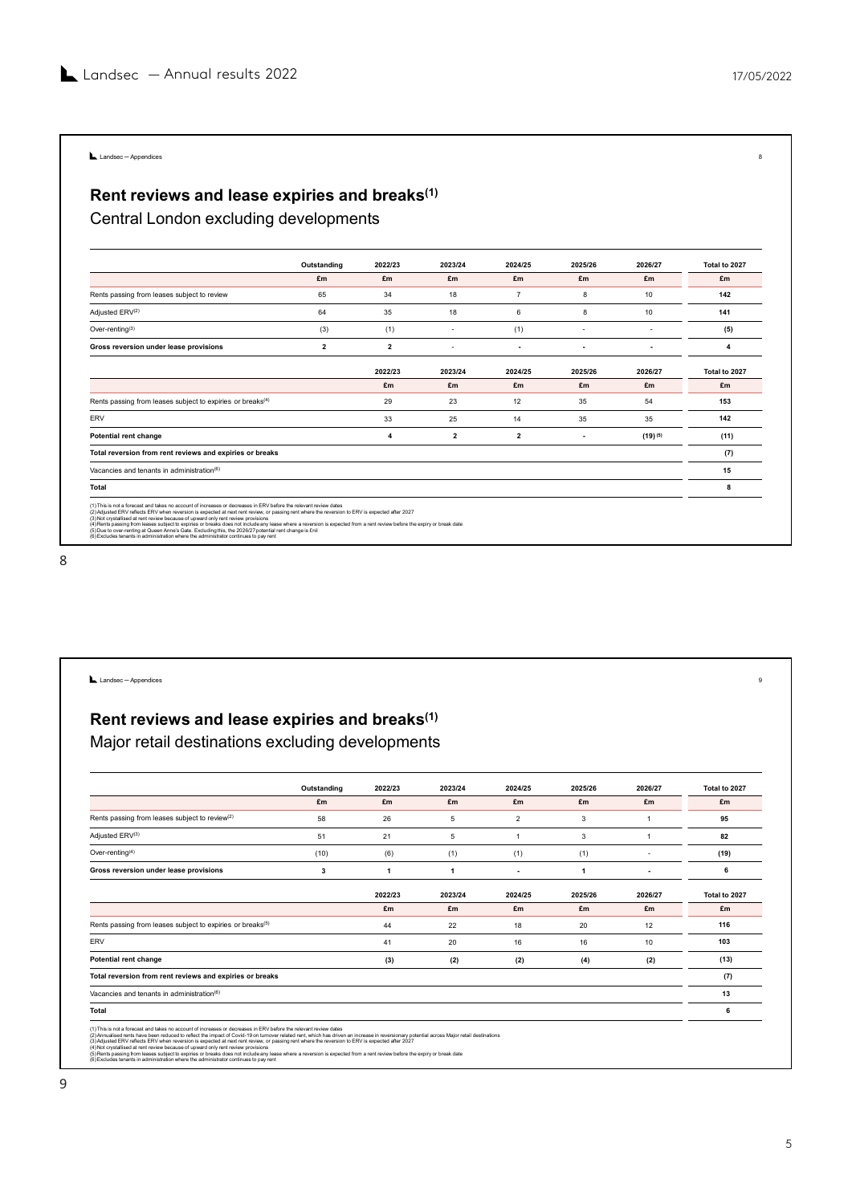# Lundsec-Appendices<br>
Rent reviews and lease expiries and breaks<sup>(1)</sup><br>
Central London excluding developments

| Landsec $-$ Annual results 2022                                                                                                                                                                                                   |                         |                         |                |                 |                |                | 17/05/2022              |
|-----------------------------------------------------------------------------------------------------------------------------------------------------------------------------------------------------------------------------------|-------------------------|-------------------------|----------------|-----------------|----------------|----------------|-------------------------|
|                                                                                                                                                                                                                                   |                         |                         |                |                 |                |                |                         |
|                                                                                                                                                                                                                                   |                         |                         |                |                 |                |                |                         |
|                                                                                                                                                                                                                                   |                         |                         |                |                 |                |                |                         |
|                                                                                                                                                                                                                                   |                         |                         |                |                 |                |                |                         |
| Landsec - Appendices                                                                                                                                                                                                              |                         |                         |                |                 |                |                |                         |
|                                                                                                                                                                                                                                   |                         |                         |                |                 |                |                |                         |
| Rent reviews and lease expiries and breaks <sup>(1)</sup>                                                                                                                                                                         |                         |                         |                |                 |                |                |                         |
|                                                                                                                                                                                                                                   |                         |                         |                |                 |                |                |                         |
| Central London excluding developments                                                                                                                                                                                             |                         |                         |                |                 |                |                |                         |
|                                                                                                                                                                                                                                   |                         |                         |                |                 |                |                |                         |
|                                                                                                                                                                                                                                   |                         |                         |                |                 |                |                |                         |
|                                                                                                                                                                                                                                   | Outstanding             | 2022/23                 | 2023/24        | 2024/25         | 2025/26        | 2026/27        | Total to 2027           |
|                                                                                                                                                                                                                                   | £m                      | £m                      | £m             | £m              | £m             | £m             | £m                      |
| Rents passing from leases subject to review                                                                                                                                                                                       | 65                      | 34                      | 18             | $7\overline{ }$ | 8              | 10             | 142                     |
| Adjusted ERV <sup>(2)</sup>                                                                                                                                                                                                       | 64                      | 35                      | 18             | $6\phantom{.0}$ | 8              | 10             | 141                     |
| Over-renting <sup>(3)</sup>                                                                                                                                                                                                       | (3)                     | (1)                     | $\sim$         | (1)             | $\sim$         | $\blacksquare$ | (5)                     |
| Gross reversion under lease provisions                                                                                                                                                                                            | $\overline{\mathbf{2}}$ | $\overline{\mathbf{2}}$ | $\sim$         | $\sim$          | $\sim$         | $\sim$         | $\overline{\mathbf{4}}$ |
|                                                                                                                                                                                                                                   |                         |                         |                |                 |                |                |                         |
|                                                                                                                                                                                                                                   |                         | 2022/23                 | 2023/24        | 2024/25         | 2025/26        | 2026/27        | Total to 2027           |
|                                                                                                                                                                                                                                   |                         | £m                      | £m             | £m              | £m             | £m             | £m                      |
| Rents passing from leases subject to expiries or breaks <sup>(4)</sup>                                                                                                                                                            |                         | 29                      | 23             | 12              | 35             | 54             | 153                     |
| ERV                                                                                                                                                                                                                               |                         | 33                      | 25             | 14              | 35             | 35             | 142                     |
| Potential rent change                                                                                                                                                                                                             |                         | $\overline{4}$          | $\overline{2}$ | $\overline{2}$  | $\blacksquare$ | $(19)^{(5)}$   | (11)                    |
| Total reversion from rent reviews and expiries or breaks                                                                                                                                                                          |                         |                         |                |                 |                |                | (7)                     |
| Vacancies and tenants in administration(6)                                                                                                                                                                                        |                         |                         |                |                 |                |                | 15                      |
| Total                                                                                                                                                                                                                             |                         |                         |                |                 |                |                | 8                       |
|                                                                                                                                                                                                                                   |                         |                         |                |                 |                |                |                         |
| (1)This is not a forecast and takes no account of increases or decreases in ERV before the relevant review dates<br>(2)Adjusted ERV reflects ERV when reversion is expected at next rent review, or passing rent where the revers |                         |                         |                |                 |                |                |                         |
| on the material material consumers of the state of the state of the state of the state of the state of the state of the state of the state of the state of the state of the state of the state of the state of the state of th    |                         |                         |                |                 |                |                |                         |

| Potential rent change<br>$\overline{\mathbf{4}}$<br>$\overline{2}$<br>$\overline{2}$<br>$(19)^{(5)}$<br>(11)<br>$\sim$<br>(7)<br>Total reversion from rent reviews and expiries or breaks<br>15<br>Vacancies and tenants in administration(6)<br><b>Total</b><br>8<br>(1) This is not a forecast and takes no account of increases or decreases in ERV before the relevant review dates<br>(2) Adjusted ERV reflects ERV when reversion is expected at next rent review, or passing rent where the reversion to ERV is expected after 2027<br>(3) Not crystallised at rent review because of upward only rent review provisions<br>(4) Rents passing from leases subject to expiries or breaks does not include any lease where a reversion is expected from a rent review before the expiry or break date<br>(5) Due to over-renting at Queen Anne's Gate. Excluding this, the 2026/27 potential rent change is £nil (6) Excludes tenants in administration where the administration continues to pay rent<br>Landsec - Appendices<br>9<br>Rent reviews and lease expiries and breaks <sup>(1)</sup><br>Major retail destinations excluding developments<br>Outstanding<br>2022/23<br>2023/24<br>2024/25<br>2025/26<br>2026/27<br>Total to 2027<br>£m<br>£m<br>£m<br>£m<br>£m<br>£m<br>£m<br>Rents passing from leases subject to review <sup>(2)</sup><br>58<br>26<br>$5\phantom{.0}$<br>$\overline{2}$<br>95<br>$\mathbf{3}$<br>$\overline{1}$<br>Adjusted ERV(3)<br>51<br>21<br>$5\phantom{.0}$<br>$\mathbf{1}$<br>$\mathbf{3}$<br>$\overline{1}$<br>82<br>Over-renting $(4)$<br>(10)<br>(6)<br>(1)<br>(1)<br>(1)<br>(19)<br>$\sim$<br>Gross reversion under lease provisions<br>$\mathbf{3}$<br>$\mathbf{1}$<br>$\overline{1}$<br>6<br>$\overline{1}$<br>$\sim$<br>$\sim$<br>2022/23<br>2023/24<br>2024/25<br>2025/26<br>2026/27<br>Total to 2027<br>£m<br>£m<br>£m<br>£m<br>£m<br>£m<br>Rents passing from leases subject to expiries or breaks(5)<br>44<br>22<br>18<br>20<br>12<br>116<br>ERV<br>41<br>20<br>16<br>16<br>10<br>103<br>Potential rent change<br>(3)<br>(2)<br>(2)<br>(4)<br>(2)<br>(13)<br>(7)<br>Total reversion from rent reviews and expiries or breaks<br>13<br>Vacancies and tenants in administration(6)<br><b>Total</b><br>6<br>(1) This is not a forecast and takes no account of increases or decreases in ERV before the relevant review dates<br>(2) Annualised rents have been reduced to reflect the impact of Covid-19 on turnover related rent, which has driven an increase in reversionary potential across Major retail destinations<br>(3) Adjusted ERV reflects ERV when |
|--------------------------------------------------------------------------------------------------------------------------------------------------------------------------------------------------------------------------------------------------------------------------------------------------------------------------------------------------------------------------------------------------------------------------------------------------------------------------------------------------------------------------------------------------------------------------------------------------------------------------------------------------------------------------------------------------------------------------------------------------------------------------------------------------------------------------------------------------------------------------------------------------------------------------------------------------------------------------------------------------------------------------------------------------------------------------------------------------------------------------------------------------------------------------------------------------------------------------------------------------------------------------------------------------------------------------------------------------------------------------------------------------------------------------------------------------------------------------------------------------------------------------------------------------------------------------------------------------------------------------------------------------------------------------------------------------------------------------------------------------------------------------------------------------------------------------------------------------------------------------------------------------------------------------------------------------------------------------------------------------------------------------------------------------------------------------------------------------------------------------------------------------------------------------------------------------------------------------------------------------------------------------------------------------------------------------------------------------------------------------------------------------------------------------------------------------------------------------------------------------------------------------------------------------------------------------------------------------------------------|
|                                                                                                                                                                                                                                                                                                                                                                                                                                                                                                                                                                                                                                                                                                                                                                                                                                                                                                                                                                                                                                                                                                                                                                                                                                                                                                                                                                                                                                                                                                                                                                                                                                                                                                                                                                                                                                                                                                                                                                                                                                                                                                                                                                                                                                                                                                                                                                                                                                                                                                                                                                                                                    |
|                                                                                                                                                                                                                                                                                                                                                                                                                                                                                                                                                                                                                                                                                                                                                                                                                                                                                                                                                                                                                                                                                                                                                                                                                                                                                                                                                                                                                                                                                                                                                                                                                                                                                                                                                                                                                                                                                                                                                                                                                                                                                                                                                                                                                                                                                                                                                                                                                                                                                                                                                                                                                    |
|                                                                                                                                                                                                                                                                                                                                                                                                                                                                                                                                                                                                                                                                                                                                                                                                                                                                                                                                                                                                                                                                                                                                                                                                                                                                                                                                                                                                                                                                                                                                                                                                                                                                                                                                                                                                                                                                                                                                                                                                                                                                                                                                                                                                                                                                                                                                                                                                                                                                                                                                                                                                                    |
|                                                                                                                                                                                                                                                                                                                                                                                                                                                                                                                                                                                                                                                                                                                                                                                                                                                                                                                                                                                                                                                                                                                                                                                                                                                                                                                                                                                                                                                                                                                                                                                                                                                                                                                                                                                                                                                                                                                                                                                                                                                                                                                                                                                                                                                                                                                                                                                                                                                                                                                                                                                                                    |
|                                                                                                                                                                                                                                                                                                                                                                                                                                                                                                                                                                                                                                                                                                                                                                                                                                                                                                                                                                                                                                                                                                                                                                                                                                                                                                                                                                                                                                                                                                                                                                                                                                                                                                                                                                                                                                                                                                                                                                                                                                                                                                                                                                                                                                                                                                                                                                                                                                                                                                                                                                                                                    |
|                                                                                                                                                                                                                                                                                                                                                                                                                                                                                                                                                                                                                                                                                                                                                                                                                                                                                                                                                                                                                                                                                                                                                                                                                                                                                                                                                                                                                                                                                                                                                                                                                                                                                                                                                                                                                                                                                                                                                                                                                                                                                                                                                                                                                                                                                                                                                                                                                                                                                                                                                                                                                    |
|                                                                                                                                                                                                                                                                                                                                                                                                                                                                                                                                                                                                                                                                                                                                                                                                                                                                                                                                                                                                                                                                                                                                                                                                                                                                                                                                                                                                                                                                                                                                                                                                                                                                                                                                                                                                                                                                                                                                                                                                                                                                                                                                                                                                                                                                                                                                                                                                                                                                                                                                                                                                                    |
|                                                                                                                                                                                                                                                                                                                                                                                                                                                                                                                                                                                                                                                                                                                                                                                                                                                                                                                                                                                                                                                                                                                                                                                                                                                                                                                                                                                                                                                                                                                                                                                                                                                                                                                                                                                                                                                                                                                                                                                                                                                                                                                                                                                                                                                                                                                                                                                                                                                                                                                                                                                                                    |
|                                                                                                                                                                                                                                                                                                                                                                                                                                                                                                                                                                                                                                                                                                                                                                                                                                                                                                                                                                                                                                                                                                                                                                                                                                                                                                                                                                                                                                                                                                                                                                                                                                                                                                                                                                                                                                                                                                                                                                                                                                                                                                                                                                                                                                                                                                                                                                                                                                                                                                                                                                                                                    |
|                                                                                                                                                                                                                                                                                                                                                                                                                                                                                                                                                                                                                                                                                                                                                                                                                                                                                                                                                                                                                                                                                                                                                                                                                                                                                                                                                                                                                                                                                                                                                                                                                                                                                                                                                                                                                                                                                                                                                                                                                                                                                                                                                                                                                                                                                                                                                                                                                                                                                                                                                                                                                    |
|                                                                                                                                                                                                                                                                                                                                                                                                                                                                                                                                                                                                                                                                                                                                                                                                                                                                                                                                                                                                                                                                                                                                                                                                                                                                                                                                                                                                                                                                                                                                                                                                                                                                                                                                                                                                                                                                                                                                                                                                                                                                                                                                                                                                                                                                                                                                                                                                                                                                                                                                                                                                                    |
|                                                                                                                                                                                                                                                                                                                                                                                                                                                                                                                                                                                                                                                                                                                                                                                                                                                                                                                                                                                                                                                                                                                                                                                                                                                                                                                                                                                                                                                                                                                                                                                                                                                                                                                                                                                                                                                                                                                                                                                                                                                                                                                                                                                                                                                                                                                                                                                                                                                                                                                                                                                                                    |
|                                                                                                                                                                                                                                                                                                                                                                                                                                                                                                                                                                                                                                                                                                                                                                                                                                                                                                                                                                                                                                                                                                                                                                                                                                                                                                                                                                                                                                                                                                                                                                                                                                                                                                                                                                                                                                                                                                                                                                                                                                                                                                                                                                                                                                                                                                                                                                                                                                                                                                                                                                                                                    |
|                                                                                                                                                                                                                                                                                                                                                                                                                                                                                                                                                                                                                                                                                                                                                                                                                                                                                                                                                                                                                                                                                                                                                                                                                                                                                                                                                                                                                                                                                                                                                                                                                                                                                                                                                                                                                                                                                                                                                                                                                                                                                                                                                                                                                                                                                                                                                                                                                                                                                                                                                                                                                    |
|                                                                                                                                                                                                                                                                                                                                                                                                                                                                                                                                                                                                                                                                                                                                                                                                                                                                                                                                                                                                                                                                                                                                                                                                                                                                                                                                                                                                                                                                                                                                                                                                                                                                                                                                                                                                                                                                                                                                                                                                                                                                                                                                                                                                                                                                                                                                                                                                                                                                                                                                                                                                                    |
|                                                                                                                                                                                                                                                                                                                                                                                                                                                                                                                                                                                                                                                                                                                                                                                                                                                                                                                                                                                                                                                                                                                                                                                                                                                                                                                                                                                                                                                                                                                                                                                                                                                                                                                                                                                                                                                                                                                                                                                                                                                                                                                                                                                                                                                                                                                                                                                                                                                                                                                                                                                                                    |
|                                                                                                                                                                                                                                                                                                                                                                                                                                                                                                                                                                                                                                                                                                                                                                                                                                                                                                                                                                                                                                                                                                                                                                                                                                                                                                                                                                                                                                                                                                                                                                                                                                                                                                                                                                                                                                                                                                                                                                                                                                                                                                                                                                                                                                                                                                                                                                                                                                                                                                                                                                                                                    |
|                                                                                                                                                                                                                                                                                                                                                                                                                                                                                                                                                                                                                                                                                                                                                                                                                                                                                                                                                                                                                                                                                                                                                                                                                                                                                                                                                                                                                                                                                                                                                                                                                                                                                                                                                                                                                                                                                                                                                                                                                                                                                                                                                                                                                                                                                                                                                                                                                                                                                                                                                                                                                    |
|                                                                                                                                                                                                                                                                                                                                                                                                                                                                                                                                                                                                                                                                                                                                                                                                                                                                                                                                                                                                                                                                                                                                                                                                                                                                                                                                                                                                                                                                                                                                                                                                                                                                                                                                                                                                                                                                                                                                                                                                                                                                                                                                                                                                                                                                                                                                                                                                                                                                                                                                                                                                                    |
|                                                                                                                                                                                                                                                                                                                                                                                                                                                                                                                                                                                                                                                                                                                                                                                                                                                                                                                                                                                                                                                                                                                                                                                                                                                                                                                                                                                                                                                                                                                                                                                                                                                                                                                                                                                                                                                                                                                                                                                                                                                                                                                                                                                                                                                                                                                                                                                                                                                                                                                                                                                                                    |
|                                                                                                                                                                                                                                                                                                                                                                                                                                                                                                                                                                                                                                                                                                                                                                                                                                                                                                                                                                                                                                                                                                                                                                                                                                                                                                                                                                                                                                                                                                                                                                                                                                                                                                                                                                                                                                                                                                                                                                                                                                                                                                                                                                                                                                                                                                                                                                                                                                                                                                                                                                                                                    |
|                                                                                                                                                                                                                                                                                                                                                                                                                                                                                                                                                                                                                                                                                                                                                                                                                                                                                                                                                                                                                                                                                                                                                                                                                                                                                                                                                                                                                                                                                                                                                                                                                                                                                                                                                                                                                                                                                                                                                                                                                                                                                                                                                                                                                                                                                                                                                                                                                                                                                                                                                                                                                    |
|                                                                                                                                                                                                                                                                                                                                                                                                                                                                                                                                                                                                                                                                                                                                                                                                                                                                                                                                                                                                                                                                                                                                                                                                                                                                                                                                                                                                                                                                                                                                                                                                                                                                                                                                                                                                                                                                                                                                                                                                                                                                                                                                                                                                                                                                                                                                                                                                                                                                                                                                                                                                                    |
|                                                                                                                                                                                                                                                                                                                                                                                                                                                                                                                                                                                                                                                                                                                                                                                                                                                                                                                                                                                                                                                                                                                                                                                                                                                                                                                                                                                                                                                                                                                                                                                                                                                                                                                                                                                                                                                                                                                                                                                                                                                                                                                                                                                                                                                                                                                                                                                                                                                                                                                                                                                                                    |
|                                                                                                                                                                                                                                                                                                                                                                                                                                                                                                                                                                                                                                                                                                                                                                                                                                                                                                                                                                                                                                                                                                                                                                                                                                                                                                                                                                                                                                                                                                                                                                                                                                                                                                                                                                                                                                                                                                                                                                                                                                                                                                                                                                                                                                                                                                                                                                                                                                                                                                                                                                                                                    |
|                                                                                                                                                                                                                                                                                                                                                                                                                                                                                                                                                                                                                                                                                                                                                                                                                                                                                                                                                                                                                                                                                                                                                                                                                                                                                                                                                                                                                                                                                                                                                                                                                                                                                                                                                                                                                                                                                                                                                                                                                                                                                                                                                                                                                                                                                                                                                                                                                                                                                                                                                                                                                    |
|                                                                                                                                                                                                                                                                                                                                                                                                                                                                                                                                                                                                                                                                                                                                                                                                                                                                                                                                                                                                                                                                                                                                                                                                                                                                                                                                                                                                                                                                                                                                                                                                                                                                                                                                                                                                                                                                                                                                                                                                                                                                                                                                                                                                                                                                                                                                                                                                                                                                                                                                                                                                                    |
|                                                                                                                                                                                                                                                                                                                                                                                                                                                                                                                                                                                                                                                                                                                                                                                                                                                                                                                                                                                                                                                                                                                                                                                                                                                                                                                                                                                                                                                                                                                                                                                                                                                                                                                                                                                                                                                                                                                                                                                                                                                                                                                                                                                                                                                                                                                                                                                                                                                                                                                                                                                                                    |
|                                                                                                                                                                                                                                                                                                                                                                                                                                                                                                                                                                                                                                                                                                                                                                                                                                                                                                                                                                                                                                                                                                                                                                                                                                                                                                                                                                                                                                                                                                                                                                                                                                                                                                                                                                                                                                                                                                                                                                                                                                                                                                                                                                                                                                                                                                                                                                                                                                                                                                                                                                                                                    |
|                                                                                                                                                                                                                                                                                                                                                                                                                                                                                                                                                                                                                                                                                                                                                                                                                                                                                                                                                                                                                                                                                                                                                                                                                                                                                                                                                                                                                                                                                                                                                                                                                                                                                                                                                                                                                                                                                                                                                                                                                                                                                                                                                                                                                                                                                                                                                                                                                                                                                                                                                                                                                    |
|                                                                                                                                                                                                                                                                                                                                                                                                                                                                                                                                                                                                                                                                                                                                                                                                                                                                                                                                                                                                                                                                                                                                                                                                                                                                                                                                                                                                                                                                                                                                                                                                                                                                                                                                                                                                                                                                                                                                                                                                                                                                                                                                                                                                                                                                                                                                                                                                                                                                                                                                                                                                                    |
|                                                                                                                                                                                                                                                                                                                                                                                                                                                                                                                                                                                                                                                                                                                                                                                                                                                                                                                                                                                                                                                                                                                                                                                                                                                                                                                                                                                                                                                                                                                                                                                                                                                                                                                                                                                                                                                                                                                                                                                                                                                                                                                                                                                                                                                                                                                                                                                                                                                                                                                                                                                                                    |
|                                                                                                                                                                                                                                                                                                                                                                                                                                                                                                                                                                                                                                                                                                                                                                                                                                                                                                                                                                                                                                                                                                                                                                                                                                                                                                                                                                                                                                                                                                                                                                                                                                                                                                                                                                                                                                                                                                                                                                                                                                                                                                                                                                                                                                                                                                                                                                                                                                                                                                                                                                                                                    |
|                                                                                                                                                                                                                                                                                                                                                                                                                                                                                                                                                                                                                                                                                                                                                                                                                                                                                                                                                                                                                                                                                                                                                                                                                                                                                                                                                                                                                                                                                                                                                                                                                                                                                                                                                                                                                                                                                                                                                                                                                                                                                                                                                                                                                                                                                                                                                                                                                                                                                                                                                                                                                    |
|                                                                                                                                                                                                                                                                                                                                                                                                                                                                                                                                                                                                                                                                                                                                                                                                                                                                                                                                                                                                                                                                                                                                                                                                                                                                                                                                                                                                                                                                                                                                                                                                                                                                                                                                                                                                                                                                                                                                                                                                                                                                                                                                                                                                                                                                                                                                                                                                                                                                                                                                                                                                                    |
|                                                                                                                                                                                                                                                                                                                                                                                                                                                                                                                                                                                                                                                                                                                                                                                                                                                                                                                                                                                                                                                                                                                                                                                                                                                                                                                                                                                                                                                                                                                                                                                                                                                                                                                                                                                                                                                                                                                                                                                                                                                                                                                                                                                                                                                                                                                                                                                                                                                                                                                                                                                                                    |
|                                                                                                                                                                                                                                                                                                                                                                                                                                                                                                                                                                                                                                                                                                                                                                                                                                                                                                                                                                                                                                                                                                                                                                                                                                                                                                                                                                                                                                                                                                                                                                                                                                                                                                                                                                                                                                                                                                                                                                                                                                                                                                                                                                                                                                                                                                                                                                                                                                                                                                                                                                                                                    |
|                                                                                                                                                                                                                                                                                                                                                                                                                                                                                                                                                                                                                                                                                                                                                                                                                                                                                                                                                                                                                                                                                                                                                                                                                                                                                                                                                                                                                                                                                                                                                                                                                                                                                                                                                                                                                                                                                                                                                                                                                                                                                                                                                                                                                                                                                                                                                                                                                                                                                                                                                                                                                    |
| (4) Not crystallised at rent review because of upward only rent review provisions<br>(5) Rents passing from leases subject to expiries or breaks does not include any lease where a reversion is expected from a rent review befo                                                                                                                                                                                                                                                                                                                                                                                                                                                                                                                                                                                                                                                                                                                                                                                                                                                                                                                                                                                                                                                                                                                                                                                                                                                                                                                                                                                                                                                                                                                                                                                                                                                                                                                                                                                                                                                                                                                                                                                                                                                                                                                                                                                                                                                                                                                                                                                  |
| (6) Excludes tenants in administration where the administrator continues to pay rent                                                                                                                                                                                                                                                                                                                                                                                                                                                                                                                                                                                                                                                                                                                                                                                                                                                                                                                                                                                                                                                                                                                                                                                                                                                                                                                                                                                                                                                                                                                                                                                                                                                                                                                                                                                                                                                                                                                                                                                                                                                                                                                                                                                                                                                                                                                                                                                                                                                                                                                               |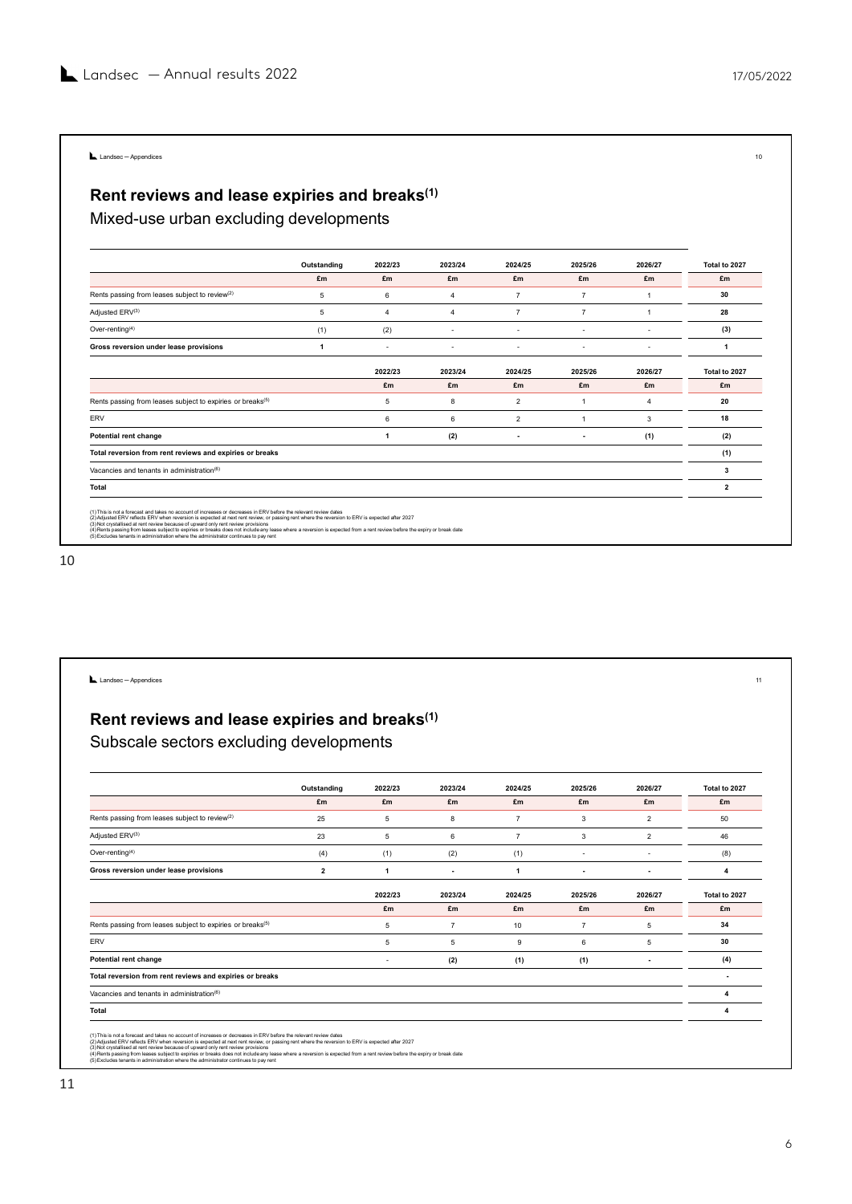## Rent reviews and lease expiries and breaks $^{\text{\tiny{(1)}}}$ Landsec-Appendices<br>Rent reviews and lease expiries and breaks<sup>(1)</sup><br>Mixed-use urban excluding developments

| Landsec $-$ Annual results 2022                                                                                                                                                                                                                                                                                                                                                                                                                                                                              |                 |                 |                |                |                 |                | 17/05/2022     |
|--------------------------------------------------------------------------------------------------------------------------------------------------------------------------------------------------------------------------------------------------------------------------------------------------------------------------------------------------------------------------------------------------------------------------------------------------------------------------------------------------------------|-----------------|-----------------|----------------|----------------|-----------------|----------------|----------------|
|                                                                                                                                                                                                                                                                                                                                                                                                                                                                                                              |                 |                 |                |                |                 |                |                |
|                                                                                                                                                                                                                                                                                                                                                                                                                                                                                                              |                 |                 |                |                |                 |                |                |
|                                                                                                                                                                                                                                                                                                                                                                                                                                                                                                              |                 |                 |                |                |                 |                |                |
| Landsec-Appendices                                                                                                                                                                                                                                                                                                                                                                                                                                                                                           |                 |                 |                |                |                 |                |                |
|                                                                                                                                                                                                                                                                                                                                                                                                                                                                                                              |                 |                 |                |                |                 |                |                |
| Rent reviews and lease expiries and breaks <sup>(1)</sup>                                                                                                                                                                                                                                                                                                                                                                                                                                                    |                 |                 |                |                |                 |                |                |
|                                                                                                                                                                                                                                                                                                                                                                                                                                                                                                              |                 |                 |                |                |                 |                |                |
| Mixed-use urban excluding developments                                                                                                                                                                                                                                                                                                                                                                                                                                                                       |                 |                 |                |                |                 |                |                |
|                                                                                                                                                                                                                                                                                                                                                                                                                                                                                                              |                 |                 |                |                |                 |                |                |
|                                                                                                                                                                                                                                                                                                                                                                                                                                                                                                              | Outstanding     | 2022/23         | 2023/24        | 2024/25        | 2025/26         | 2026/27        | Total to 2027  |
|                                                                                                                                                                                                                                                                                                                                                                                                                                                                                                              |                 | £m              | £m             | £m             | £m              | £m             | £m             |
|                                                                                                                                                                                                                                                                                                                                                                                                                                                                                                              | £m              |                 |                |                |                 | $\overline{1}$ | 30             |
| Rents passing from leases subject to review <sup>(2)</sup>                                                                                                                                                                                                                                                                                                                                                                                                                                                   | $5\phantom{.0}$ | $6\phantom{.0}$ | $\overline{4}$ | $\overline{7}$ | $\overline{7}$  |                |                |
| Adjusted ERV(3)                                                                                                                                                                                                                                                                                                                                                                                                                                                                                              | $5\phantom{.0}$ | $\overline{4}$  | $\overline{4}$ | $\overline{7}$ | $7\overline{ }$ | $\overline{1}$ | 28             |
| Over-renting <sup>(4)</sup>                                                                                                                                                                                                                                                                                                                                                                                                                                                                                  | (1)             | (2)             | $\omega$       | $\cdot$        | $\sim$          | $\omega$       | (3)            |
| Gross reversion under lease provisions                                                                                                                                                                                                                                                                                                                                                                                                                                                                       | $\overline{1}$  | $\sim$          | $\sim$         | $\sim$         | $\sim$          | $\sim$         | $\overline{1}$ |
|                                                                                                                                                                                                                                                                                                                                                                                                                                                                                                              |                 | 2022/23         | 2023/24        | 2024/25        | 2025/26         | 2026/27        | Total to 2027  |
|                                                                                                                                                                                                                                                                                                                                                                                                                                                                                                              |                 | £m              | £m             | £m             | £m              | £m             | £m             |
| Rents passing from leases subject to expiries or breaks(5)                                                                                                                                                                                                                                                                                                                                                                                                                                                   |                 | $5\overline{5}$ | 8              | $\overline{2}$ | $\overline{1}$  | $\overline{4}$ | 20             |
| ERV                                                                                                                                                                                                                                                                                                                                                                                                                                                                                                          |                 | 6               | 6              | $\overline{2}$ | $\overline{1}$  | $\mathbf{3}$   | 18             |
| Potential rent change                                                                                                                                                                                                                                                                                                                                                                                                                                                                                        |                 | $\overline{1}$  | (2)            | $\sim$         | $\sim$          | (1)            | (2)            |
| Total reversion from rent reviews and expiries or breaks                                                                                                                                                                                                                                                                                                                                                                                                                                                     |                 |                 |                |                |                 |                | (1)            |
| Vacancies and tenants in administration(6)                                                                                                                                                                                                                                                                                                                                                                                                                                                                   |                 |                 |                |                |                 |                | $\mathbf{3}$   |
| <b>Total</b>                                                                                                                                                                                                                                                                                                                                                                                                                                                                                                 |                 |                 |                |                |                 |                | $\overline{2}$ |
|                                                                                                                                                                                                                                                                                                                                                                                                                                                                                                              |                 |                 |                |                |                 |                |                |
| (1) This is not a forecast and takes no account of increases or decreases in ERV before the relevant review dates<br>(2) Adjusted ERV reflects ERV when reversion is expected at next rent review, or passing rent where the reversion to ERV is expected after 2027<br>(3) Not crystallised at rent review because of upward only rent review provisions<br>(3) Not crystallised at rent review because of upward only rent review provisions<br>(4) Rents passing from leases subject to expiries or break |                 |                 |                |                |                 |                |                |

| (2)<br>Potential rent change<br>$\mathbf{1}$<br>(2)<br>(1)<br>$\sim$<br>$\sim$<br>(1)<br>Total reversion from rent reviews and expiries or breaks<br>$\mathbf{3}$<br>Vacancies and tenants in administration(6)<br>$\overline{2}$<br><b>Total</b><br>(1) This is not a forecast and takes no account of increases or decreases in ERV before the relevant review dates<br>(2) Adjusted ERV reflects ERV when reversion is expected at next rent review, or passing rent where the reversion to ERV is expected after 2027<br>المستعدد المستعدد المستعدد المستعدد المستعدد المستعدد المستعدد المستعدد المستعدد المستعدد المستعدد المستعدد ال<br>المستعدد المستعدد المستعدد المستعدد المستعدد المستعدد المستعدد المستعدد المستعدد المستعدد المستعدد المستعدد ال<br>(5) Excludes tenants in administration where the administrator continues to pay rent<br>Landsec-Appendices<br>Rent reviews and lease expiries and breaks <sup>(1)</sup><br>Subscale sectors excluding developments<br>Outstanding<br>2022/23<br>2023/24<br>2024/25<br>2025/26<br>2026/27<br>£m<br>£m<br>£m<br>£m<br>£m<br>£m<br>£m<br>Rents passing from leases subject to review <sup>(2)</sup><br>25<br>$\overline{7}$<br>$\overline{2}$<br>50<br>5 <sub>5</sub><br>8<br>$\mathbf{3}$<br>Adjusted ERV(3)<br>23<br>$\overline{2}$<br>5 <sub>5</sub><br>$6\phantom{.0}$<br>$\overline{7}$<br>$\mathbf{3}$<br>46<br>Over-renting $(4)$<br>(4)<br>(1)<br>(2)<br>(1)<br>(8)<br>$\sim$<br>$\overline{\phantom{a}}$<br>Gross reversion under lease provisions<br>$\overline{2}$<br>$\overline{\mathbf{4}}$<br>$\mathbf{1}$<br>$\overline{\mathbf{1}}$<br>$\overline{\phantom{a}}$<br>$\sim$<br>$\sim$<br>2022/23<br>2023/24<br>2024/25<br>2025/26<br>2026/27<br>£m<br>£m<br>£m<br>£m<br>£m<br>£m<br>34<br>Rents passing from leases subject to expiries or breaks(5)<br>$5\phantom{.0}$<br>$\overline{7}$<br>10<br>$7\overline{ }$<br>$\overline{5}$<br>ERV<br>$5\phantom{.0}$<br>$5\phantom{.0}$<br>9<br>6<br>5 <sub>5</sub><br>30<br>Potential rent change<br>(2)<br>(1)<br>(1)<br>(4)<br>$\sim$<br>$\sim$<br>Total reversion from rent reviews and expiries or breaks<br>$\sim$<br>Vacancies and tenants in administration(6)<br>$\overline{4}$<br><b>Total</b><br>$\overline{\mathbf{4}}$<br>(1) This is not a forecast and takes no account of increases or decreases in ERV before the relevant review dates<br>(2) Adjusted ERV reflects ERV when reversion is expected at next rent review, or passing rent where the reversion to ERV is expected after 2027<br>(3) Not crystallised at rent review because of upward only rent review provisions<br>(3) Not crystallised at rent review because of upward only rent review provisions<br>(4) Rents passing from leases subject to expiries or break<br>(5) Excludes tenants in administration where the administrator continues to pay rent |  | $6\overline{6}$ | $6\phantom{a}$ | $\overline{2}$ | $\overline{1}$ | $\mathbf{3}$ | 18            |
|-------------------------------------------------------------------------------------------------------------------------------------------------------------------------------------------------------------------------------------------------------------------------------------------------------------------------------------------------------------------------------------------------------------------------------------------------------------------------------------------------------------------------------------------------------------------------------------------------------------------------------------------------------------------------------------------------------------------------------------------------------------------------------------------------------------------------------------------------------------------------------------------------------------------------------------------------------------------------------------------------------------------------------------------------------------------------------------------------------------------------------------------------------------------------------------------------------------------------------------------------------------------------------------------------------------------------------------------------------------------------------------------------------------------------------------------------------------------------------------------------------------------------------------------------------------------------------------------------------------------------------------------------------------------------------------------------------------------------------------------------------------------------------------------------------------------------------------------------------------------------------------------------------------------------------------------------------------------------------------------------------------------------------------------------------------------------------------------------------------------------------------------------------------------------------------------------------------------------------------------------------------------------------------------------------------------------------------------------------------------------------------------------------------------------------------------------------------------------------------------------------------------------------------------------------------------------------------------------------------------------------------------------------------------------------------------------------------------------------------------------------------------------------------------------------------------------------------------------------------------|--|-----------------|----------------|----------------|----------------|--------------|---------------|
|                                                                                                                                                                                                                                                                                                                                                                                                                                                                                                                                                                                                                                                                                                                                                                                                                                                                                                                                                                                                                                                                                                                                                                                                                                                                                                                                                                                                                                                                                                                                                                                                                                                                                                                                                                                                                                                                                                                                                                                                                                                                                                                                                                                                                                                                                                                                                                                                                                                                                                                                                                                                                                                                                                                                                                                                                                                                   |  |                 |                |                |                |              |               |
|                                                                                                                                                                                                                                                                                                                                                                                                                                                                                                                                                                                                                                                                                                                                                                                                                                                                                                                                                                                                                                                                                                                                                                                                                                                                                                                                                                                                                                                                                                                                                                                                                                                                                                                                                                                                                                                                                                                                                                                                                                                                                                                                                                                                                                                                                                                                                                                                                                                                                                                                                                                                                                                                                                                                                                                                                                                                   |  |                 |                |                |                |              |               |
|                                                                                                                                                                                                                                                                                                                                                                                                                                                                                                                                                                                                                                                                                                                                                                                                                                                                                                                                                                                                                                                                                                                                                                                                                                                                                                                                                                                                                                                                                                                                                                                                                                                                                                                                                                                                                                                                                                                                                                                                                                                                                                                                                                                                                                                                                                                                                                                                                                                                                                                                                                                                                                                                                                                                                                                                                                                                   |  |                 |                |                |                |              |               |
|                                                                                                                                                                                                                                                                                                                                                                                                                                                                                                                                                                                                                                                                                                                                                                                                                                                                                                                                                                                                                                                                                                                                                                                                                                                                                                                                                                                                                                                                                                                                                                                                                                                                                                                                                                                                                                                                                                                                                                                                                                                                                                                                                                                                                                                                                                                                                                                                                                                                                                                                                                                                                                                                                                                                                                                                                                                                   |  |                 |                |                |                |              |               |
|                                                                                                                                                                                                                                                                                                                                                                                                                                                                                                                                                                                                                                                                                                                                                                                                                                                                                                                                                                                                                                                                                                                                                                                                                                                                                                                                                                                                                                                                                                                                                                                                                                                                                                                                                                                                                                                                                                                                                                                                                                                                                                                                                                                                                                                                                                                                                                                                                                                                                                                                                                                                                                                                                                                                                                                                                                                                   |  |                 |                |                |                |              |               |
|                                                                                                                                                                                                                                                                                                                                                                                                                                                                                                                                                                                                                                                                                                                                                                                                                                                                                                                                                                                                                                                                                                                                                                                                                                                                                                                                                                                                                                                                                                                                                                                                                                                                                                                                                                                                                                                                                                                                                                                                                                                                                                                                                                                                                                                                                                                                                                                                                                                                                                                                                                                                                                                                                                                                                                                                                                                                   |  |                 |                |                |                |              |               |
|                                                                                                                                                                                                                                                                                                                                                                                                                                                                                                                                                                                                                                                                                                                                                                                                                                                                                                                                                                                                                                                                                                                                                                                                                                                                                                                                                                                                                                                                                                                                                                                                                                                                                                                                                                                                                                                                                                                                                                                                                                                                                                                                                                                                                                                                                                                                                                                                                                                                                                                                                                                                                                                                                                                                                                                                                                                                   |  |                 |                |                |                |              |               |
|                                                                                                                                                                                                                                                                                                                                                                                                                                                                                                                                                                                                                                                                                                                                                                                                                                                                                                                                                                                                                                                                                                                                                                                                                                                                                                                                                                                                                                                                                                                                                                                                                                                                                                                                                                                                                                                                                                                                                                                                                                                                                                                                                                                                                                                                                                                                                                                                                                                                                                                                                                                                                                                                                                                                                                                                                                                                   |  |                 |                |                |                |              |               |
|                                                                                                                                                                                                                                                                                                                                                                                                                                                                                                                                                                                                                                                                                                                                                                                                                                                                                                                                                                                                                                                                                                                                                                                                                                                                                                                                                                                                                                                                                                                                                                                                                                                                                                                                                                                                                                                                                                                                                                                                                                                                                                                                                                                                                                                                                                                                                                                                                                                                                                                                                                                                                                                                                                                                                                                                                                                                   |  |                 |                |                |                |              |               |
|                                                                                                                                                                                                                                                                                                                                                                                                                                                                                                                                                                                                                                                                                                                                                                                                                                                                                                                                                                                                                                                                                                                                                                                                                                                                                                                                                                                                                                                                                                                                                                                                                                                                                                                                                                                                                                                                                                                                                                                                                                                                                                                                                                                                                                                                                                                                                                                                                                                                                                                                                                                                                                                                                                                                                                                                                                                                   |  |                 |                |                |                |              |               |
|                                                                                                                                                                                                                                                                                                                                                                                                                                                                                                                                                                                                                                                                                                                                                                                                                                                                                                                                                                                                                                                                                                                                                                                                                                                                                                                                                                                                                                                                                                                                                                                                                                                                                                                                                                                                                                                                                                                                                                                                                                                                                                                                                                                                                                                                                                                                                                                                                                                                                                                                                                                                                                                                                                                                                                                                                                                                   |  |                 |                |                |                |              |               |
|                                                                                                                                                                                                                                                                                                                                                                                                                                                                                                                                                                                                                                                                                                                                                                                                                                                                                                                                                                                                                                                                                                                                                                                                                                                                                                                                                                                                                                                                                                                                                                                                                                                                                                                                                                                                                                                                                                                                                                                                                                                                                                                                                                                                                                                                                                                                                                                                                                                                                                                                                                                                                                                                                                                                                                                                                                                                   |  |                 |                |                |                |              |               |
|                                                                                                                                                                                                                                                                                                                                                                                                                                                                                                                                                                                                                                                                                                                                                                                                                                                                                                                                                                                                                                                                                                                                                                                                                                                                                                                                                                                                                                                                                                                                                                                                                                                                                                                                                                                                                                                                                                                                                                                                                                                                                                                                                                                                                                                                                                                                                                                                                                                                                                                                                                                                                                                                                                                                                                                                                                                                   |  |                 |                |                |                |              |               |
|                                                                                                                                                                                                                                                                                                                                                                                                                                                                                                                                                                                                                                                                                                                                                                                                                                                                                                                                                                                                                                                                                                                                                                                                                                                                                                                                                                                                                                                                                                                                                                                                                                                                                                                                                                                                                                                                                                                                                                                                                                                                                                                                                                                                                                                                                                                                                                                                                                                                                                                                                                                                                                                                                                                                                                                                                                                                   |  |                 |                |                |                |              |               |
|                                                                                                                                                                                                                                                                                                                                                                                                                                                                                                                                                                                                                                                                                                                                                                                                                                                                                                                                                                                                                                                                                                                                                                                                                                                                                                                                                                                                                                                                                                                                                                                                                                                                                                                                                                                                                                                                                                                                                                                                                                                                                                                                                                                                                                                                                                                                                                                                                                                                                                                                                                                                                                                                                                                                                                                                                                                                   |  |                 |                |                |                |              |               |
|                                                                                                                                                                                                                                                                                                                                                                                                                                                                                                                                                                                                                                                                                                                                                                                                                                                                                                                                                                                                                                                                                                                                                                                                                                                                                                                                                                                                                                                                                                                                                                                                                                                                                                                                                                                                                                                                                                                                                                                                                                                                                                                                                                                                                                                                                                                                                                                                                                                                                                                                                                                                                                                                                                                                                                                                                                                                   |  |                 |                |                |                |              |               |
|                                                                                                                                                                                                                                                                                                                                                                                                                                                                                                                                                                                                                                                                                                                                                                                                                                                                                                                                                                                                                                                                                                                                                                                                                                                                                                                                                                                                                                                                                                                                                                                                                                                                                                                                                                                                                                                                                                                                                                                                                                                                                                                                                                                                                                                                                                                                                                                                                                                                                                                                                                                                                                                                                                                                                                                                                                                                   |  |                 |                |                |                |              |               |
|                                                                                                                                                                                                                                                                                                                                                                                                                                                                                                                                                                                                                                                                                                                                                                                                                                                                                                                                                                                                                                                                                                                                                                                                                                                                                                                                                                                                                                                                                                                                                                                                                                                                                                                                                                                                                                                                                                                                                                                                                                                                                                                                                                                                                                                                                                                                                                                                                                                                                                                                                                                                                                                                                                                                                                                                                                                                   |  |                 |                |                |                |              |               |
|                                                                                                                                                                                                                                                                                                                                                                                                                                                                                                                                                                                                                                                                                                                                                                                                                                                                                                                                                                                                                                                                                                                                                                                                                                                                                                                                                                                                                                                                                                                                                                                                                                                                                                                                                                                                                                                                                                                                                                                                                                                                                                                                                                                                                                                                                                                                                                                                                                                                                                                                                                                                                                                                                                                                                                                                                                                                   |  |                 |                |                |                |              |               |
|                                                                                                                                                                                                                                                                                                                                                                                                                                                                                                                                                                                                                                                                                                                                                                                                                                                                                                                                                                                                                                                                                                                                                                                                                                                                                                                                                                                                                                                                                                                                                                                                                                                                                                                                                                                                                                                                                                                                                                                                                                                                                                                                                                                                                                                                                                                                                                                                                                                                                                                                                                                                                                                                                                                                                                                                                                                                   |  |                 |                |                |                |              |               |
|                                                                                                                                                                                                                                                                                                                                                                                                                                                                                                                                                                                                                                                                                                                                                                                                                                                                                                                                                                                                                                                                                                                                                                                                                                                                                                                                                                                                                                                                                                                                                                                                                                                                                                                                                                                                                                                                                                                                                                                                                                                                                                                                                                                                                                                                                                                                                                                                                                                                                                                                                                                                                                                                                                                                                                                                                                                                   |  |                 |                |                |                |              |               |
|                                                                                                                                                                                                                                                                                                                                                                                                                                                                                                                                                                                                                                                                                                                                                                                                                                                                                                                                                                                                                                                                                                                                                                                                                                                                                                                                                                                                                                                                                                                                                                                                                                                                                                                                                                                                                                                                                                                                                                                                                                                                                                                                                                                                                                                                                                                                                                                                                                                                                                                                                                                                                                                                                                                                                                                                                                                                   |  |                 |                |                |                |              | Total to 2027 |
|                                                                                                                                                                                                                                                                                                                                                                                                                                                                                                                                                                                                                                                                                                                                                                                                                                                                                                                                                                                                                                                                                                                                                                                                                                                                                                                                                                                                                                                                                                                                                                                                                                                                                                                                                                                                                                                                                                                                                                                                                                                                                                                                                                                                                                                                                                                                                                                                                                                                                                                                                                                                                                                                                                                                                                                                                                                                   |  |                 |                |                |                |              |               |
|                                                                                                                                                                                                                                                                                                                                                                                                                                                                                                                                                                                                                                                                                                                                                                                                                                                                                                                                                                                                                                                                                                                                                                                                                                                                                                                                                                                                                                                                                                                                                                                                                                                                                                                                                                                                                                                                                                                                                                                                                                                                                                                                                                                                                                                                                                                                                                                                                                                                                                                                                                                                                                                                                                                                                                                                                                                                   |  |                 |                |                |                |              |               |
|                                                                                                                                                                                                                                                                                                                                                                                                                                                                                                                                                                                                                                                                                                                                                                                                                                                                                                                                                                                                                                                                                                                                                                                                                                                                                                                                                                                                                                                                                                                                                                                                                                                                                                                                                                                                                                                                                                                                                                                                                                                                                                                                                                                                                                                                                                                                                                                                                                                                                                                                                                                                                                                                                                                                                                                                                                                                   |  |                 |                |                |                |              |               |
|                                                                                                                                                                                                                                                                                                                                                                                                                                                                                                                                                                                                                                                                                                                                                                                                                                                                                                                                                                                                                                                                                                                                                                                                                                                                                                                                                                                                                                                                                                                                                                                                                                                                                                                                                                                                                                                                                                                                                                                                                                                                                                                                                                                                                                                                                                                                                                                                                                                                                                                                                                                                                                                                                                                                                                                                                                                                   |  |                 |                |                |                |              |               |
|                                                                                                                                                                                                                                                                                                                                                                                                                                                                                                                                                                                                                                                                                                                                                                                                                                                                                                                                                                                                                                                                                                                                                                                                                                                                                                                                                                                                                                                                                                                                                                                                                                                                                                                                                                                                                                                                                                                                                                                                                                                                                                                                                                                                                                                                                                                                                                                                                                                                                                                                                                                                                                                                                                                                                                                                                                                                   |  |                 |                |                |                |              |               |
|                                                                                                                                                                                                                                                                                                                                                                                                                                                                                                                                                                                                                                                                                                                                                                                                                                                                                                                                                                                                                                                                                                                                                                                                                                                                                                                                                                                                                                                                                                                                                                                                                                                                                                                                                                                                                                                                                                                                                                                                                                                                                                                                                                                                                                                                                                                                                                                                                                                                                                                                                                                                                                                                                                                                                                                                                                                                   |  |                 |                |                |                |              |               |
|                                                                                                                                                                                                                                                                                                                                                                                                                                                                                                                                                                                                                                                                                                                                                                                                                                                                                                                                                                                                                                                                                                                                                                                                                                                                                                                                                                                                                                                                                                                                                                                                                                                                                                                                                                                                                                                                                                                                                                                                                                                                                                                                                                                                                                                                                                                                                                                                                                                                                                                                                                                                                                                                                                                                                                                                                                                                   |  |                 |                |                |                |              | Total to 2027 |
|                                                                                                                                                                                                                                                                                                                                                                                                                                                                                                                                                                                                                                                                                                                                                                                                                                                                                                                                                                                                                                                                                                                                                                                                                                                                                                                                                                                                                                                                                                                                                                                                                                                                                                                                                                                                                                                                                                                                                                                                                                                                                                                                                                                                                                                                                                                                                                                                                                                                                                                                                                                                                                                                                                                                                                                                                                                                   |  |                 |                |                |                |              |               |
|                                                                                                                                                                                                                                                                                                                                                                                                                                                                                                                                                                                                                                                                                                                                                                                                                                                                                                                                                                                                                                                                                                                                                                                                                                                                                                                                                                                                                                                                                                                                                                                                                                                                                                                                                                                                                                                                                                                                                                                                                                                                                                                                                                                                                                                                                                                                                                                                                                                                                                                                                                                                                                                                                                                                                                                                                                                                   |  |                 |                |                |                |              |               |
|                                                                                                                                                                                                                                                                                                                                                                                                                                                                                                                                                                                                                                                                                                                                                                                                                                                                                                                                                                                                                                                                                                                                                                                                                                                                                                                                                                                                                                                                                                                                                                                                                                                                                                                                                                                                                                                                                                                                                                                                                                                                                                                                                                                                                                                                                                                                                                                                                                                                                                                                                                                                                                                                                                                                                                                                                                                                   |  |                 |                |                |                |              |               |
|                                                                                                                                                                                                                                                                                                                                                                                                                                                                                                                                                                                                                                                                                                                                                                                                                                                                                                                                                                                                                                                                                                                                                                                                                                                                                                                                                                                                                                                                                                                                                                                                                                                                                                                                                                                                                                                                                                                                                                                                                                                                                                                                                                                                                                                                                                                                                                                                                                                                                                                                                                                                                                                                                                                                                                                                                                                                   |  |                 |                |                |                |              |               |
|                                                                                                                                                                                                                                                                                                                                                                                                                                                                                                                                                                                                                                                                                                                                                                                                                                                                                                                                                                                                                                                                                                                                                                                                                                                                                                                                                                                                                                                                                                                                                                                                                                                                                                                                                                                                                                                                                                                                                                                                                                                                                                                                                                                                                                                                                                                                                                                                                                                                                                                                                                                                                                                                                                                                                                                                                                                                   |  |                 |                |                |                |              |               |
|                                                                                                                                                                                                                                                                                                                                                                                                                                                                                                                                                                                                                                                                                                                                                                                                                                                                                                                                                                                                                                                                                                                                                                                                                                                                                                                                                                                                                                                                                                                                                                                                                                                                                                                                                                                                                                                                                                                                                                                                                                                                                                                                                                                                                                                                                                                                                                                                                                                                                                                                                                                                                                                                                                                                                                                                                                                                   |  |                 |                |                |                |              |               |
|                                                                                                                                                                                                                                                                                                                                                                                                                                                                                                                                                                                                                                                                                                                                                                                                                                                                                                                                                                                                                                                                                                                                                                                                                                                                                                                                                                                                                                                                                                                                                                                                                                                                                                                                                                                                                                                                                                                                                                                                                                                                                                                                                                                                                                                                                                                                                                                                                                                                                                                                                                                                                                                                                                                                                                                                                                                                   |  |                 |                |                |                |              |               |
|                                                                                                                                                                                                                                                                                                                                                                                                                                                                                                                                                                                                                                                                                                                                                                                                                                                                                                                                                                                                                                                                                                                                                                                                                                                                                                                                                                                                                                                                                                                                                                                                                                                                                                                                                                                                                                                                                                                                                                                                                                                                                                                                                                                                                                                                                                                                                                                                                                                                                                                                                                                                                                                                                                                                                                                                                                                                   |  |                 |                |                |                |              |               |
|                                                                                                                                                                                                                                                                                                                                                                                                                                                                                                                                                                                                                                                                                                                                                                                                                                                                                                                                                                                                                                                                                                                                                                                                                                                                                                                                                                                                                                                                                                                                                                                                                                                                                                                                                                                                                                                                                                                                                                                                                                                                                                                                                                                                                                                                                                                                                                                                                                                                                                                                                                                                                                                                                                                                                                                                                                                                   |  |                 |                |                |                |              |               |
|                                                                                                                                                                                                                                                                                                                                                                                                                                                                                                                                                                                                                                                                                                                                                                                                                                                                                                                                                                                                                                                                                                                                                                                                                                                                                                                                                                                                                                                                                                                                                                                                                                                                                                                                                                                                                                                                                                                                                                                                                                                                                                                                                                                                                                                                                                                                                                                                                                                                                                                                                                                                                                                                                                                                                                                                                                                                   |  |                 |                |                |                |              |               |
|                                                                                                                                                                                                                                                                                                                                                                                                                                                                                                                                                                                                                                                                                                                                                                                                                                                                                                                                                                                                                                                                                                                                                                                                                                                                                                                                                                                                                                                                                                                                                                                                                                                                                                                                                                                                                                                                                                                                                                                                                                                                                                                                                                                                                                                                                                                                                                                                                                                                                                                                                                                                                                                                                                                                                                                                                                                                   |  |                 |                |                |                |              |               |
|                                                                                                                                                                                                                                                                                                                                                                                                                                                                                                                                                                                                                                                                                                                                                                                                                                                                                                                                                                                                                                                                                                                                                                                                                                                                                                                                                                                                                                                                                                                                                                                                                                                                                                                                                                                                                                                                                                                                                                                                                                                                                                                                                                                                                                                                                                                                                                                                                                                                                                                                                                                                                                                                                                                                                                                                                                                                   |  |                 |                |                |                |              |               |
|                                                                                                                                                                                                                                                                                                                                                                                                                                                                                                                                                                                                                                                                                                                                                                                                                                                                                                                                                                                                                                                                                                                                                                                                                                                                                                                                                                                                                                                                                                                                                                                                                                                                                                                                                                                                                                                                                                                                                                                                                                                                                                                                                                                                                                                                                                                                                                                                                                                                                                                                                                                                                                                                                                                                                                                                                                                                   |  |                 |                |                |                |              |               |
|                                                                                                                                                                                                                                                                                                                                                                                                                                                                                                                                                                                                                                                                                                                                                                                                                                                                                                                                                                                                                                                                                                                                                                                                                                                                                                                                                                                                                                                                                                                                                                                                                                                                                                                                                                                                                                                                                                                                                                                                                                                                                                                                                                                                                                                                                                                                                                                                                                                                                                                                                                                                                                                                                                                                                                                                                                                                   |  |                 |                |                |                |              |               |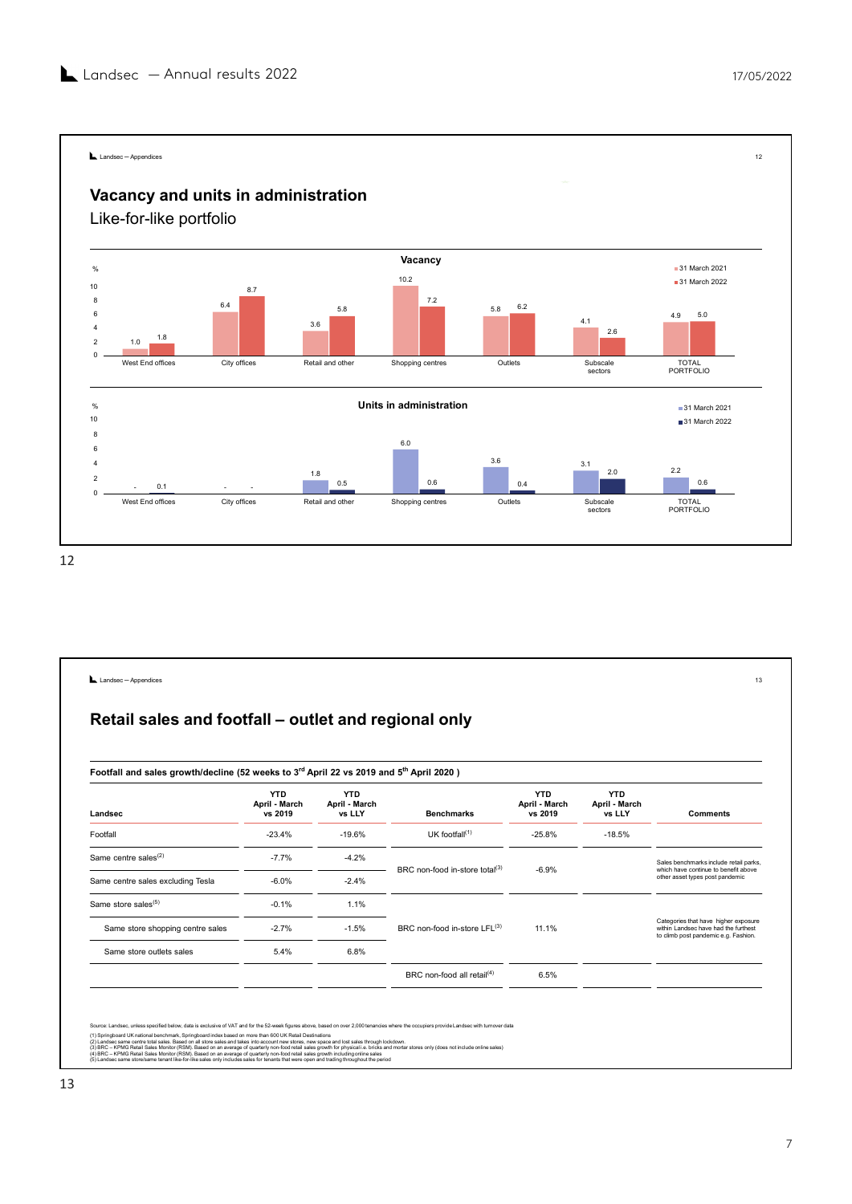

| West End offices<br>City offices<br>Retail and other<br>Shopping centres<br>Outlets<br><b>TOTAL</b><br>Subscale<br>PORTFOLIO<br>sectors<br>Landsec - Appendices<br>Retail sales and footfall - outlet and regional only<br>Footfall and sales growth/decline (52 weeks to 3rd April 22 vs 2019 and 5 <sup>th</sup> April 2020)<br><b>YTD</b><br><b>YTD</b><br><b>YTD</b><br><b>YTD</b><br>April - March<br>April - March<br>April - March<br>April - March<br>vs LLY<br>Landsec<br>vs 2019<br>vs LLY<br><b>Benchmarks</b><br>vs 2019<br><b>Comments</b><br>UK footfall $(1)$<br>Footfall<br>$-23.4%$<br>$-19.6%$<br>$-25.8%$<br>$-18.5%$<br>Same centre sales $(2)$<br>$-7.7%$<br>$-4.2%$<br>Sales benchmarks include retail parks,<br>BRC non-food in-store total(3)<br>$-6.9%$<br>which have continue to benefit above<br>other asset types post pandemic<br>$-2.4%$<br>Same centre sales excluding Tesla<br>$-6.0%$<br>Same store sales <sup>(5)</sup><br>$-0.1%$<br>1.1%<br>Categories that have higher exposure<br>BRC non-food in-store LFL(3)<br>$-2.7%$<br>$-1.5%$<br>11.1%<br>Same store shopping centre sales<br>within Landsec have had the furthest<br>to climb post pandemic e.g. Fashion.<br>5.4%<br>6.8%<br>Same store outlets sales<br>BRC non-food all retail <sup>(4)</sup><br>6.5% | 2  | 8<br>6<br>Δ<br>$\overline{c}$<br>0.1<br>$\Omega$ | $\sim$ | $1.8\,$<br>0.5 | $6.0\,$<br>3.6<br>0.6 | 0.4 | 3.1<br>2.0 | 2.2<br>0.6 |
|-------------------------------------------------------------------------------------------------------------------------------------------------------------------------------------------------------------------------------------------------------------------------------------------------------------------------------------------------------------------------------------------------------------------------------------------------------------------------------------------------------------------------------------------------------------------------------------------------------------------------------------------------------------------------------------------------------------------------------------------------------------------------------------------------------------------------------------------------------------------------------------------------------------------------------------------------------------------------------------------------------------------------------------------------------------------------------------------------------------------------------------------------------------------------------------------------------------------------------------------------------------------------------------------------------|----|--------------------------------------------------|--------|----------------|-----------------------|-----|------------|------------|
|                                                                                                                                                                                                                                                                                                                                                                                                                                                                                                                                                                                                                                                                                                                                                                                                                                                                                                                                                                                                                                                                                                                                                                                                                                                                                                       |    |                                                  |        |                |                       |     |            |            |
|                                                                                                                                                                                                                                                                                                                                                                                                                                                                                                                                                                                                                                                                                                                                                                                                                                                                                                                                                                                                                                                                                                                                                                                                                                                                                                       | 13 |                                                  |        |                |                       |     |            |            |
|                                                                                                                                                                                                                                                                                                                                                                                                                                                                                                                                                                                                                                                                                                                                                                                                                                                                                                                                                                                                                                                                                                                                                                                                                                                                                                       |    |                                                  |        |                |                       |     |            |            |
|                                                                                                                                                                                                                                                                                                                                                                                                                                                                                                                                                                                                                                                                                                                                                                                                                                                                                                                                                                                                                                                                                                                                                                                                                                                                                                       |    |                                                  |        |                |                       |     |            |            |
|                                                                                                                                                                                                                                                                                                                                                                                                                                                                                                                                                                                                                                                                                                                                                                                                                                                                                                                                                                                                                                                                                                                                                                                                                                                                                                       |    |                                                  |        |                |                       |     |            |            |
|                                                                                                                                                                                                                                                                                                                                                                                                                                                                                                                                                                                                                                                                                                                                                                                                                                                                                                                                                                                                                                                                                                                                                                                                                                                                                                       |    |                                                  |        |                |                       |     |            |            |
|                                                                                                                                                                                                                                                                                                                                                                                                                                                                                                                                                                                                                                                                                                                                                                                                                                                                                                                                                                                                                                                                                                                                                                                                                                                                                                       |    |                                                  |        |                |                       |     |            |            |
|                                                                                                                                                                                                                                                                                                                                                                                                                                                                                                                                                                                                                                                                                                                                                                                                                                                                                                                                                                                                                                                                                                                                                                                                                                                                                                       |    |                                                  |        |                |                       |     |            |            |
|                                                                                                                                                                                                                                                                                                                                                                                                                                                                                                                                                                                                                                                                                                                                                                                                                                                                                                                                                                                                                                                                                                                                                                                                                                                                                                       |    |                                                  |        |                |                       |     |            |            |
|                                                                                                                                                                                                                                                                                                                                                                                                                                                                                                                                                                                                                                                                                                                                                                                                                                                                                                                                                                                                                                                                                                                                                                                                                                                                                                       |    |                                                  |        |                |                       |     |            |            |
|                                                                                                                                                                                                                                                                                                                                                                                                                                                                                                                                                                                                                                                                                                                                                                                                                                                                                                                                                                                                                                                                                                                                                                                                                                                                                                       |    |                                                  |        |                |                       |     |            |            |
|                                                                                                                                                                                                                                                                                                                                                                                                                                                                                                                                                                                                                                                                                                                                                                                                                                                                                                                                                                                                                                                                                                                                                                                                                                                                                                       |    |                                                  |        |                |                       |     |            |            |
|                                                                                                                                                                                                                                                                                                                                                                                                                                                                                                                                                                                                                                                                                                                                                                                                                                                                                                                                                                                                                                                                                                                                                                                                                                                                                                       |    |                                                  |        |                |                       |     |            |            |
|                                                                                                                                                                                                                                                                                                                                                                                                                                                                                                                                                                                                                                                                                                                                                                                                                                                                                                                                                                                                                                                                                                                                                                                                                                                                                                       |    |                                                  |        |                |                       |     |            |            |
|                                                                                                                                                                                                                                                                                                                                                                                                                                                                                                                                                                                                                                                                                                                                                                                                                                                                                                                                                                                                                                                                                                                                                                                                                                                                                                       |    |                                                  |        |                |                       |     |            |            |
|                                                                                                                                                                                                                                                                                                                                                                                                                                                                                                                                                                                                                                                                                                                                                                                                                                                                                                                                                                                                                                                                                                                                                                                                                                                                                                       |    |                                                  |        |                |                       |     |            |            |
|                                                                                                                                                                                                                                                                                                                                                                                                                                                                                                                                                                                                                                                                                                                                                                                                                                                                                                                                                                                                                                                                                                                                                                                                                                                                                                       |    |                                                  |        |                |                       |     |            |            |
|                                                                                                                                                                                                                                                                                                                                                                                                                                                                                                                                                                                                                                                                                                                                                                                                                                                                                                                                                                                                                                                                                                                                                                                                                                                                                                       |    |                                                  |        |                |                       |     |            |            |
| Source: Landsec, unless specified below, data is exclusive of VAT and for the 52-week figures above, based on over 2,000 tenancies where the occupiers provide Landsec with turnover data                                                                                                                                                                                                                                                                                                                                                                                                                                                                                                                                                                                                                                                                                                                                                                                                                                                                                                                                                                                                                                                                                                             |    |                                                  |        |                |                       |     |            |            |
| (1) Spinopbard UK nalional benchmak. Spinopbard index based on more than 600 UK Relail Destinations<br>(2) Landasc same centre total sales. Based on all store sales and takes into account new shores, mow space and lost sales                                                                                                                                                                                                                                                                                                                                                                                                                                                                                                                                                                                                                                                                                                                                                                                                                                                                                                                                                                                                                                                                      |    |                                                  |        |                |                       |     |            |            |
| (5) Landsec same store/same tenant like-for-like sales only includes sales for tenants that were open and trading throughout the period                                                                                                                                                                                                                                                                                                                                                                                                                                                                                                                                                                                                                                                                                                                                                                                                                                                                                                                                                                                                                                                                                                                                                               |    | 3                                                |        |                |                       |     |            |            |
|                                                                                                                                                                                                                                                                                                                                                                                                                                                                                                                                                                                                                                                                                                                                                                                                                                                                                                                                                                                                                                                                                                                                                                                                                                                                                                       |    |                                                  |        |                |                       |     |            |            |
|                                                                                                                                                                                                                                                                                                                                                                                                                                                                                                                                                                                                                                                                                                                                                                                                                                                                                                                                                                                                                                                                                                                                                                                                                                                                                                       |    |                                                  |        |                |                       |     |            |            |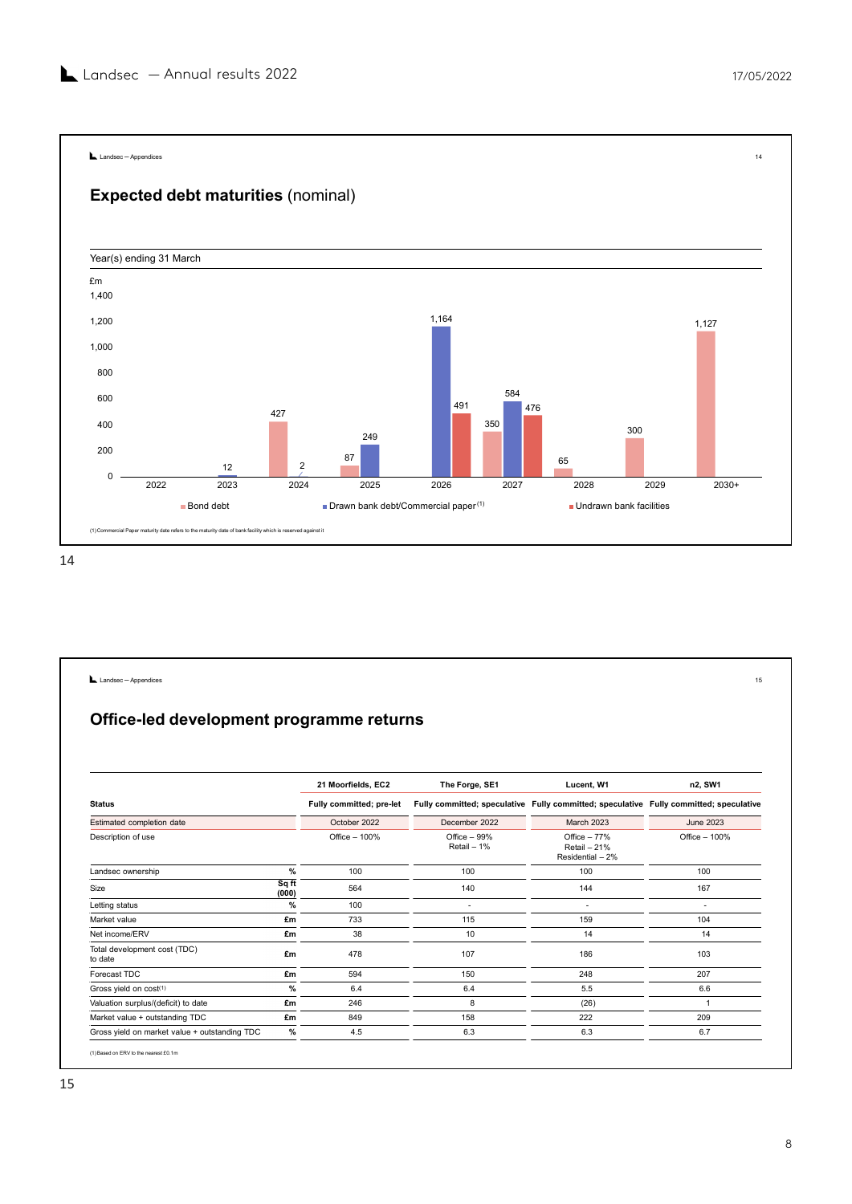



| 87<br>65<br>$\overline{2}$<br>12<br>$\mathbf 0$<br>2023<br>2022<br>2024<br>2025<br>2026<br>2027<br>2028<br>2029<br>$2030+$<br>Drawn bank debt/Commercial paper <sup>(1)</sup><br><b>Bond debt</b><br>Undrawn bank facilities<br>(1) Commercial Paper maturity date refers to the maturity date of bank facility which is reserved against it<br>Landsec - Appendices<br>15<br>Office-led development programme returns<br>21 Moorfields, EC2<br>Lucent, W1<br>n2, SW1<br>The Forge, SE1<br><b>Status</b><br>Fully committed; pre-let<br>Fully committed; speculative Fully committed; speculative Fully committed; speculative<br>March 2023<br>Estimated completion date<br>October 2022<br>December 2022<br>June 2023<br>Description of use<br>Office - 100%<br>Office - 99%<br>Office - 77%<br>Office - 100%<br>Retail - 1%<br>Retail - 21%<br>Residential - 2%<br>$\%$<br>Landsec ownership<br>100<br>100<br>100<br>100<br>$\overline{sqtt}$<br>Size<br>564<br>140<br>144<br>167<br>(000)<br>100<br>Letting status<br>$\%$<br>$\sim$<br>$\sim$<br>$\sim$<br>733<br>159<br>Market value<br>£m<br>115<br>104<br>Net income/ERV<br>38<br>10<br>14<br>14<br>£m<br>Total development cost (TDC)<br>478<br>107<br>186<br>103<br>£m<br>to date<br>Forecast TDC<br>594<br>150<br>248<br>207<br>£m<br>$\%$<br>$6.4\,$<br>5.5<br>6.6<br>Gross yield on cost(1)<br>6.4<br>Valuation surplus/(deficit) to date<br>246<br>8<br>(26)<br>£m<br>$\overline{1}$<br>Market value + outstanding TDC<br>849<br>158<br>222<br>209<br>£m | 400<br>200                                    | 427 | 249 | 350 | 41 U | 300 |     |
|------------------------------------------------------------------------------------------------------------------------------------------------------------------------------------------------------------------------------------------------------------------------------------------------------------------------------------------------------------------------------------------------------------------------------------------------------------------------------------------------------------------------------------------------------------------------------------------------------------------------------------------------------------------------------------------------------------------------------------------------------------------------------------------------------------------------------------------------------------------------------------------------------------------------------------------------------------------------------------------------------------------------------------------------------------------------------------------------------------------------------------------------------------------------------------------------------------------------------------------------------------------------------------------------------------------------------------------------------------------------------------------------------------------------------------------------------------------------------------------------------------------------|-----------------------------------------------|-----|-----|-----|------|-----|-----|
|                                                                                                                                                                                                                                                                                                                                                                                                                                                                                                                                                                                                                                                                                                                                                                                                                                                                                                                                                                                                                                                                                                                                                                                                                                                                                                                                                                                                                                                                                                                        |                                               |     |     |     |      |     |     |
|                                                                                                                                                                                                                                                                                                                                                                                                                                                                                                                                                                                                                                                                                                                                                                                                                                                                                                                                                                                                                                                                                                                                                                                                                                                                                                                                                                                                                                                                                                                        |                                               |     |     |     |      |     |     |
|                                                                                                                                                                                                                                                                                                                                                                                                                                                                                                                                                                                                                                                                                                                                                                                                                                                                                                                                                                                                                                                                                                                                                                                                                                                                                                                                                                                                                                                                                                                        |                                               |     |     |     |      |     |     |
|                                                                                                                                                                                                                                                                                                                                                                                                                                                                                                                                                                                                                                                                                                                                                                                                                                                                                                                                                                                                                                                                                                                                                                                                                                                                                                                                                                                                                                                                                                                        |                                               |     |     |     |      |     |     |
|                                                                                                                                                                                                                                                                                                                                                                                                                                                                                                                                                                                                                                                                                                                                                                                                                                                                                                                                                                                                                                                                                                                                                                                                                                                                                                                                                                                                                                                                                                                        |                                               |     |     |     |      |     |     |
|                                                                                                                                                                                                                                                                                                                                                                                                                                                                                                                                                                                                                                                                                                                                                                                                                                                                                                                                                                                                                                                                                                                                                                                                                                                                                                                                                                                                                                                                                                                        |                                               |     |     |     |      |     |     |
|                                                                                                                                                                                                                                                                                                                                                                                                                                                                                                                                                                                                                                                                                                                                                                                                                                                                                                                                                                                                                                                                                                                                                                                                                                                                                                                                                                                                                                                                                                                        |                                               |     |     |     |      |     |     |
|                                                                                                                                                                                                                                                                                                                                                                                                                                                                                                                                                                                                                                                                                                                                                                                                                                                                                                                                                                                                                                                                                                                                                                                                                                                                                                                                                                                                                                                                                                                        |                                               |     |     |     |      |     |     |
|                                                                                                                                                                                                                                                                                                                                                                                                                                                                                                                                                                                                                                                                                                                                                                                                                                                                                                                                                                                                                                                                                                                                                                                                                                                                                                                                                                                                                                                                                                                        |                                               |     |     |     |      |     |     |
|                                                                                                                                                                                                                                                                                                                                                                                                                                                                                                                                                                                                                                                                                                                                                                                                                                                                                                                                                                                                                                                                                                                                                                                                                                                                                                                                                                                                                                                                                                                        |                                               |     |     |     |      |     |     |
|                                                                                                                                                                                                                                                                                                                                                                                                                                                                                                                                                                                                                                                                                                                                                                                                                                                                                                                                                                                                                                                                                                                                                                                                                                                                                                                                                                                                                                                                                                                        |                                               |     |     |     |      |     |     |
|                                                                                                                                                                                                                                                                                                                                                                                                                                                                                                                                                                                                                                                                                                                                                                                                                                                                                                                                                                                                                                                                                                                                                                                                                                                                                                                                                                                                                                                                                                                        |                                               |     |     |     |      |     |     |
|                                                                                                                                                                                                                                                                                                                                                                                                                                                                                                                                                                                                                                                                                                                                                                                                                                                                                                                                                                                                                                                                                                                                                                                                                                                                                                                                                                                                                                                                                                                        |                                               |     |     |     |      |     |     |
|                                                                                                                                                                                                                                                                                                                                                                                                                                                                                                                                                                                                                                                                                                                                                                                                                                                                                                                                                                                                                                                                                                                                                                                                                                                                                                                                                                                                                                                                                                                        |                                               |     |     |     |      |     |     |
|                                                                                                                                                                                                                                                                                                                                                                                                                                                                                                                                                                                                                                                                                                                                                                                                                                                                                                                                                                                                                                                                                                                                                                                                                                                                                                                                                                                                                                                                                                                        |                                               |     |     |     |      |     |     |
|                                                                                                                                                                                                                                                                                                                                                                                                                                                                                                                                                                                                                                                                                                                                                                                                                                                                                                                                                                                                                                                                                                                                                                                                                                                                                                                                                                                                                                                                                                                        |                                               |     |     |     |      |     |     |
|                                                                                                                                                                                                                                                                                                                                                                                                                                                                                                                                                                                                                                                                                                                                                                                                                                                                                                                                                                                                                                                                                                                                                                                                                                                                                                                                                                                                                                                                                                                        |                                               |     |     |     |      |     |     |
|                                                                                                                                                                                                                                                                                                                                                                                                                                                                                                                                                                                                                                                                                                                                                                                                                                                                                                                                                                                                                                                                                                                                                                                                                                                                                                                                                                                                                                                                                                                        |                                               |     |     |     |      |     |     |
|                                                                                                                                                                                                                                                                                                                                                                                                                                                                                                                                                                                                                                                                                                                                                                                                                                                                                                                                                                                                                                                                                                                                                                                                                                                                                                                                                                                                                                                                                                                        |                                               |     |     |     |      |     |     |
|                                                                                                                                                                                                                                                                                                                                                                                                                                                                                                                                                                                                                                                                                                                                                                                                                                                                                                                                                                                                                                                                                                                                                                                                                                                                                                                                                                                                                                                                                                                        |                                               |     |     |     |      |     |     |
|                                                                                                                                                                                                                                                                                                                                                                                                                                                                                                                                                                                                                                                                                                                                                                                                                                                                                                                                                                                                                                                                                                                                                                                                                                                                                                                                                                                                                                                                                                                        |                                               |     |     |     |      |     |     |
|                                                                                                                                                                                                                                                                                                                                                                                                                                                                                                                                                                                                                                                                                                                                                                                                                                                                                                                                                                                                                                                                                                                                                                                                                                                                                                                                                                                                                                                                                                                        |                                               |     |     |     |      |     |     |
|                                                                                                                                                                                                                                                                                                                                                                                                                                                                                                                                                                                                                                                                                                                                                                                                                                                                                                                                                                                                                                                                                                                                                                                                                                                                                                                                                                                                                                                                                                                        |                                               |     |     |     |      |     |     |
|                                                                                                                                                                                                                                                                                                                                                                                                                                                                                                                                                                                                                                                                                                                                                                                                                                                                                                                                                                                                                                                                                                                                                                                                                                                                                                                                                                                                                                                                                                                        |                                               |     |     |     |      |     |     |
|                                                                                                                                                                                                                                                                                                                                                                                                                                                                                                                                                                                                                                                                                                                                                                                                                                                                                                                                                                                                                                                                                                                                                                                                                                                                                                                                                                                                                                                                                                                        |                                               |     |     |     |      |     |     |
|                                                                                                                                                                                                                                                                                                                                                                                                                                                                                                                                                                                                                                                                                                                                                                                                                                                                                                                                                                                                                                                                                                                                                                                                                                                                                                                                                                                                                                                                                                                        |                                               |     |     |     |      |     |     |
|                                                                                                                                                                                                                                                                                                                                                                                                                                                                                                                                                                                                                                                                                                                                                                                                                                                                                                                                                                                                                                                                                                                                                                                                                                                                                                                                                                                                                                                                                                                        |                                               |     |     |     |      |     |     |
|                                                                                                                                                                                                                                                                                                                                                                                                                                                                                                                                                                                                                                                                                                                                                                                                                                                                                                                                                                                                                                                                                                                                                                                                                                                                                                                                                                                                                                                                                                                        |                                               |     |     |     |      |     |     |
| $\%$                                                                                                                                                                                                                                                                                                                                                                                                                                                                                                                                                                                                                                                                                                                                                                                                                                                                                                                                                                                                                                                                                                                                                                                                                                                                                                                                                                                                                                                                                                                   |                                               |     | 4.5 | 6.3 | 6.3  |     | 6.7 |
| (1) Based on ERV to the nearest £0.1m                                                                                                                                                                                                                                                                                                                                                                                                                                                                                                                                                                                                                                                                                                                                                                                                                                                                                                                                                                                                                                                                                                                                                                                                                                                                                                                                                                                                                                                                                  | Gross yield on market value + outstanding TDC |     |     |     |      |     |     |
|                                                                                                                                                                                                                                                                                                                                                                                                                                                                                                                                                                                                                                                                                                                                                                                                                                                                                                                                                                                                                                                                                                                                                                                                                                                                                                                                                                                                                                                                                                                        |                                               |     |     |     |      |     |     |
|                                                                                                                                                                                                                                                                                                                                                                                                                                                                                                                                                                                                                                                                                                                                                                                                                                                                                                                                                                                                                                                                                                                                                                                                                                                                                                                                                                                                                                                                                                                        |                                               |     |     |     |      |     |     |
|                                                                                                                                                                                                                                                                                                                                                                                                                                                                                                                                                                                                                                                                                                                                                                                                                                                                                                                                                                                                                                                                                                                                                                                                                                                                                                                                                                                                                                                                                                                        |                                               |     |     |     |      |     |     |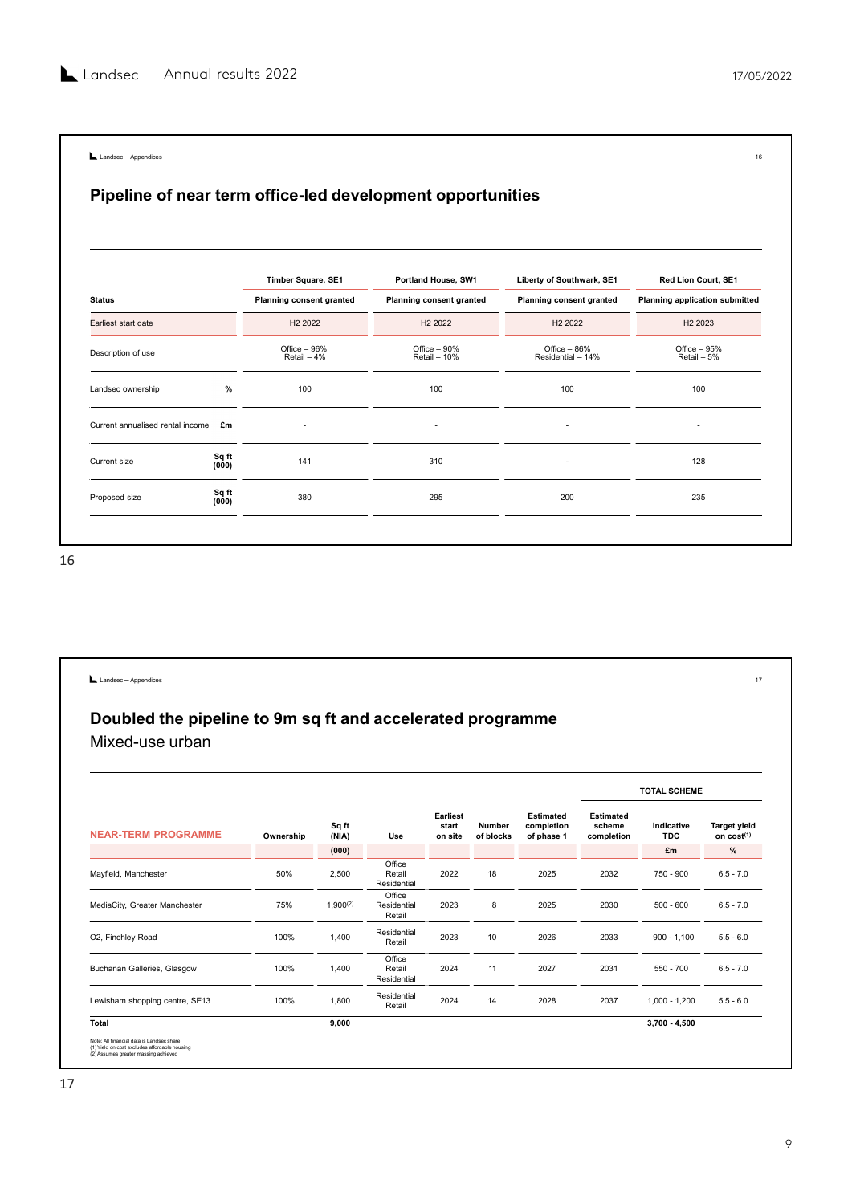| Landsec-Appendices                  |                |                               |                                                            |                                     | 16                                   |
|-------------------------------------|----------------|-------------------------------|------------------------------------------------------------|-------------------------------------|--------------------------------------|
|                                     |                |                               | Pipeline of near term office-led development opportunities |                                     |                                      |
|                                     |                | Timber Square, SE1            | Portland House, SW1                                        | Liberty of Southwark, SE1           | Red Lion Court, SE1                  |
| <b>Status</b>                       |                | Planning consent granted      | <b>Planning consent granted</b>                            | Planning consent granted            | Planning application submitted       |
| Earliest start date                 |                | H <sub>2</sub> 2022           | H <sub>2</sub> 2022<br>Office - 90%                        | H <sub>2</sub> 2022<br>Office - 86% | H <sub>2</sub> 2023<br>Office $-95%$ |
| Description of use                  |                | Office $-96%$<br>Retail $-4%$ | Retail - 10%                                               | Residential - 14%                   | Retail - 5%                          |
| Landsec ownership                   | $\%$           | 100                           | 100                                                        | 100                                 | 100                                  |
| Current annualised rental income Em |                | $\overline{\phantom{a}}$      | $\overline{\phantom{a}}$                                   | $\overline{\phantom{a}}$            | $\overline{\phantom{a}}$             |
| Current size                        | Sq ft<br>(000) | 141                           | 310                                                        | $\overline{\phantom{a}}$            | 128                                  |
| Proposed size                       | Sq ft<br>(000) | 380                           | 295                                                        | 200                                 | 235                                  |
|                                     |                |                               |                                                            |                                     |                                      |

| Sq ft<br>295<br>200<br>380<br>235<br>Proposed size<br>(000)<br>Landsec - Appendices<br>$17\,$<br>Doubled the pipeline to 9m sq ft and accelerated programme<br>Mixed-use urban<br><b>TOTAL SCHEME</b><br>Earliest<br>Estimated<br>Estimated<br>Sq ft<br>Indicative<br><b>Target yield</b><br>start<br>Number<br>completion<br>scheme<br><b>NEAR-TERM PROGRAMME</b><br>(NIA)<br>on cost(1)<br>Ownership<br>Use<br>on site<br>of blocks<br>of phase 1<br>completion<br>TDC<br>(000)<br>£m<br>%<br>Office<br>50%<br>Mayfield, Manchester<br>2,500<br>2022<br>18<br>2025<br>2032<br>Retail<br>750 - 900<br>$6.5 - 7.0$<br>Residential<br>Office<br>MediaCity, Greater Manchester<br>75%<br>$1,900^{(2)}$<br>Residential<br>2023<br>8<br>2025<br>2030<br>$500 - 600$<br>$6.5 - 7.0$<br>Retail<br>Residential<br>O2, Finchley Road<br>100%<br>1,400<br>2023<br>10<br>2026<br>2033<br>$900 - 1,100$<br>$5.5 - 6.0$<br>Retail<br>Office<br>100%<br>Buchanan Galleries, Glasgow<br>1,400<br>2024<br>11<br>2027<br>2031<br>$550 - 700$<br>$6.5 - 7.0$<br>Retail<br>Residential<br>Residential<br>Lewisham shopping centre, SE13<br>100%<br>1,800<br>2024<br>14<br>2028<br>2037<br>$1,000 - 1,200$<br>$5.5 - 6.0$<br>Retail<br>9,000<br>Total<br>$3,700 - 4,500$ | (000) | 141 |  | 310 | $\overline{\phantom{a}}$ | 128 |  |
|-------------------------------------------------------------------------------------------------------------------------------------------------------------------------------------------------------------------------------------------------------------------------------------------------------------------------------------------------------------------------------------------------------------------------------------------------------------------------------------------------------------------------------------------------------------------------------------------------------------------------------------------------------------------------------------------------------------------------------------------------------------------------------------------------------------------------------------------------------------------------------------------------------------------------------------------------------------------------------------------------------------------------------------------------------------------------------------------------------------------------------------------------------------------------------------------------------------------------------------------------------|-------|-----|--|-----|--------------------------|-----|--|
| 6                                                                                                                                                                                                                                                                                                                                                                                                                                                                                                                                                                                                                                                                                                                                                                                                                                                                                                                                                                                                                                                                                                                                                                                                                                                     |       |     |  |     |                          |     |  |
|                                                                                                                                                                                                                                                                                                                                                                                                                                                                                                                                                                                                                                                                                                                                                                                                                                                                                                                                                                                                                                                                                                                                                                                                                                                       |       |     |  |     |                          |     |  |
|                                                                                                                                                                                                                                                                                                                                                                                                                                                                                                                                                                                                                                                                                                                                                                                                                                                                                                                                                                                                                                                                                                                                                                                                                                                       |       |     |  |     |                          |     |  |
|                                                                                                                                                                                                                                                                                                                                                                                                                                                                                                                                                                                                                                                                                                                                                                                                                                                                                                                                                                                                                                                                                                                                                                                                                                                       |       |     |  |     |                          |     |  |
|                                                                                                                                                                                                                                                                                                                                                                                                                                                                                                                                                                                                                                                                                                                                                                                                                                                                                                                                                                                                                                                                                                                                                                                                                                                       |       |     |  |     |                          |     |  |
|                                                                                                                                                                                                                                                                                                                                                                                                                                                                                                                                                                                                                                                                                                                                                                                                                                                                                                                                                                                                                                                                                                                                                                                                                                                       |       |     |  |     |                          |     |  |
|                                                                                                                                                                                                                                                                                                                                                                                                                                                                                                                                                                                                                                                                                                                                                                                                                                                                                                                                                                                                                                                                                                                                                                                                                                                       |       |     |  |     |                          |     |  |
|                                                                                                                                                                                                                                                                                                                                                                                                                                                                                                                                                                                                                                                                                                                                                                                                                                                                                                                                                                                                                                                                                                                                                                                                                                                       |       |     |  |     |                          |     |  |
|                                                                                                                                                                                                                                                                                                                                                                                                                                                                                                                                                                                                                                                                                                                                                                                                                                                                                                                                                                                                                                                                                                                                                                                                                                                       |       |     |  |     |                          |     |  |
|                                                                                                                                                                                                                                                                                                                                                                                                                                                                                                                                                                                                                                                                                                                                                                                                                                                                                                                                                                                                                                                                                                                                                                                                                                                       |       |     |  |     |                          |     |  |
|                                                                                                                                                                                                                                                                                                                                                                                                                                                                                                                                                                                                                                                                                                                                                                                                                                                                                                                                                                                                                                                                                                                                                                                                                                                       |       |     |  |     |                          |     |  |
|                                                                                                                                                                                                                                                                                                                                                                                                                                                                                                                                                                                                                                                                                                                                                                                                                                                                                                                                                                                                                                                                                                                                                                                                                                                       |       |     |  |     |                          |     |  |
|                                                                                                                                                                                                                                                                                                                                                                                                                                                                                                                                                                                                                                                                                                                                                                                                                                                                                                                                                                                                                                                                                                                                                                                                                                                       |       |     |  |     |                          |     |  |
|                                                                                                                                                                                                                                                                                                                                                                                                                                                                                                                                                                                                                                                                                                                                                                                                                                                                                                                                                                                                                                                                                                                                                                                                                                                       |       |     |  |     |                          |     |  |
|                                                                                                                                                                                                                                                                                                                                                                                                                                                                                                                                                                                                                                                                                                                                                                                                                                                                                                                                                                                                                                                                                                                                                                                                                                                       |       |     |  |     |                          |     |  |
|                                                                                                                                                                                                                                                                                                                                                                                                                                                                                                                                                                                                                                                                                                                                                                                                                                                                                                                                                                                                                                                                                                                                                                                                                                                       |       |     |  |     |                          |     |  |
|                                                                                                                                                                                                                                                                                                                                                                                                                                                                                                                                                                                                                                                                                                                                                                                                                                                                                                                                                                                                                                                                                                                                                                                                                                                       |       |     |  |     |                          |     |  |
|                                                                                                                                                                                                                                                                                                                                                                                                                                                                                                                                                                                                                                                                                                                                                                                                                                                                                                                                                                                                                                                                                                                                                                                                                                                       |       |     |  |     |                          |     |  |
|                                                                                                                                                                                                                                                                                                                                                                                                                                                                                                                                                                                                                                                                                                                                                                                                                                                                                                                                                                                                                                                                                                                                                                                                                                                       |       |     |  |     |                          |     |  |
|                                                                                                                                                                                                                                                                                                                                                                                                                                                                                                                                                                                                                                                                                                                                                                                                                                                                                                                                                                                                                                                                                                                                                                                                                                                       |       |     |  |     |                          |     |  |
|                                                                                                                                                                                                                                                                                                                                                                                                                                                                                                                                                                                                                                                                                                                                                                                                                                                                                                                                                                                                                                                                                                                                                                                                                                                       |       |     |  |     |                          |     |  |
|                                                                                                                                                                                                                                                                                                                                                                                                                                                                                                                                                                                                                                                                                                                                                                                                                                                                                                                                                                                                                                                                                                                                                                                                                                                       |       |     |  |     |                          |     |  |
| Note: All financial data is Landsec share<br>(1) Yield on cost excludes affordable housing<br>(2) Assumes greater massing achieved                                                                                                                                                                                                                                                                                                                                                                                                                                                                                                                                                                                                                                                                                                                                                                                                                                                                                                                                                                                                                                                                                                                    |       |     |  |     |                          |     |  |
|                                                                                                                                                                                                                                                                                                                                                                                                                                                                                                                                                                                                                                                                                                                                                                                                                                                                                                                                                                                                                                                                                                                                                                                                                                                       |       |     |  |     |                          |     |  |
| $\overline{7}$                                                                                                                                                                                                                                                                                                                                                                                                                                                                                                                                                                                                                                                                                                                                                                                                                                                                                                                                                                                                                                                                                                                                                                                                                                        |       |     |  |     |                          |     |  |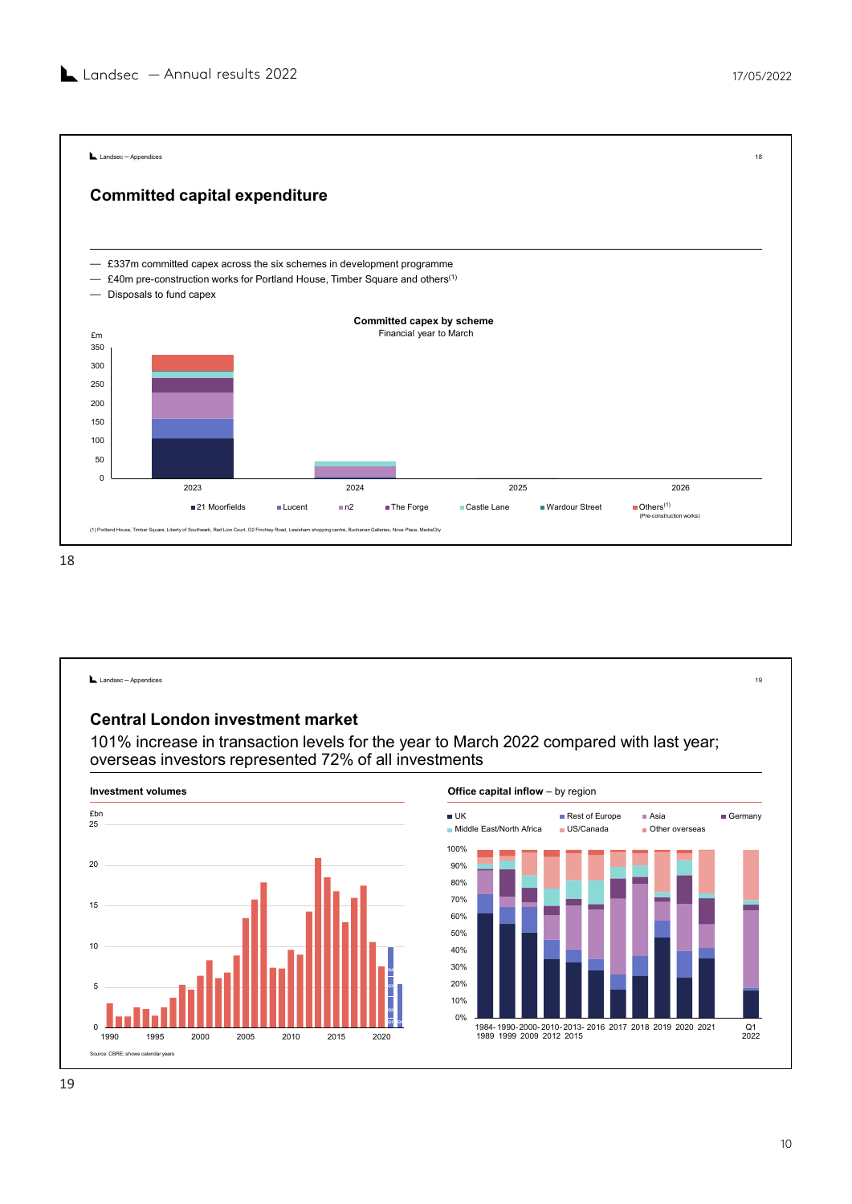Landsec — Annual results 2022<br>
17/05/2022<br>
Landsec-Apporations — £337m committed capex across the six schemes in development programme — £40m pre-construction works for Portland House, Timber Square and others(1) — Disposals to fund capex 0 50 and the contract of the contract of the contract of the contract of the contract of the contract of the contract of the contract of the contract of the contract of the contract of the contract of the contract of the contra е производит в применении с производительно применения в соответственности и производительно применения в соот<br>В соответствии применения в соответствии применения в соответствии применения в соответствии применения в соот 200 250 300  $350<sub>1</sub>$ 2023<br>
2023<br>
2024 2026 2027<br>
2026 2027<br>
2026 2027<br>
2026 2027<br>
2026 2027<br>
2027<br>
2027<br>
2027<br>
2027<br>
2028<br>
2027<br>
2028 2027<br>
2028<br>
2027<br>
2028 2028<br>
2027<br>
2028 2028<br>
2028<br>
2028 2028<br>
2028 2028<br>
2028 2028<br>
2028 2028<br>
2028 2028<br>
20  $\varepsilon$ m and the matrix of the matrix of the matrix  $\varepsilon$  Financial year to March  $\varepsilon$ 21 Moorfields Lucent n2 The Forge Castle Lane Wardour Street Others Committed capital expenditure mitted capital expenditure<br>
Tm committed capex across the six schemes in development programme<br>
m pre-construction works for Portland House, Timber Square and others<sup>(1)</sup><br>
oosals to fund capex<br> **Committed capex by scheme**  $\blacksquare$  Others<sup>(1)</sup><br>(Pre-construction works) 18 (1) House, The Action The Court of Court of South Action Court of South Action Court of Southware, Liberty of Southware, The Court of Southware Court, O2 Financial Southware (1) The Court of Southwark, Red Liberty of South  $(1)$ 

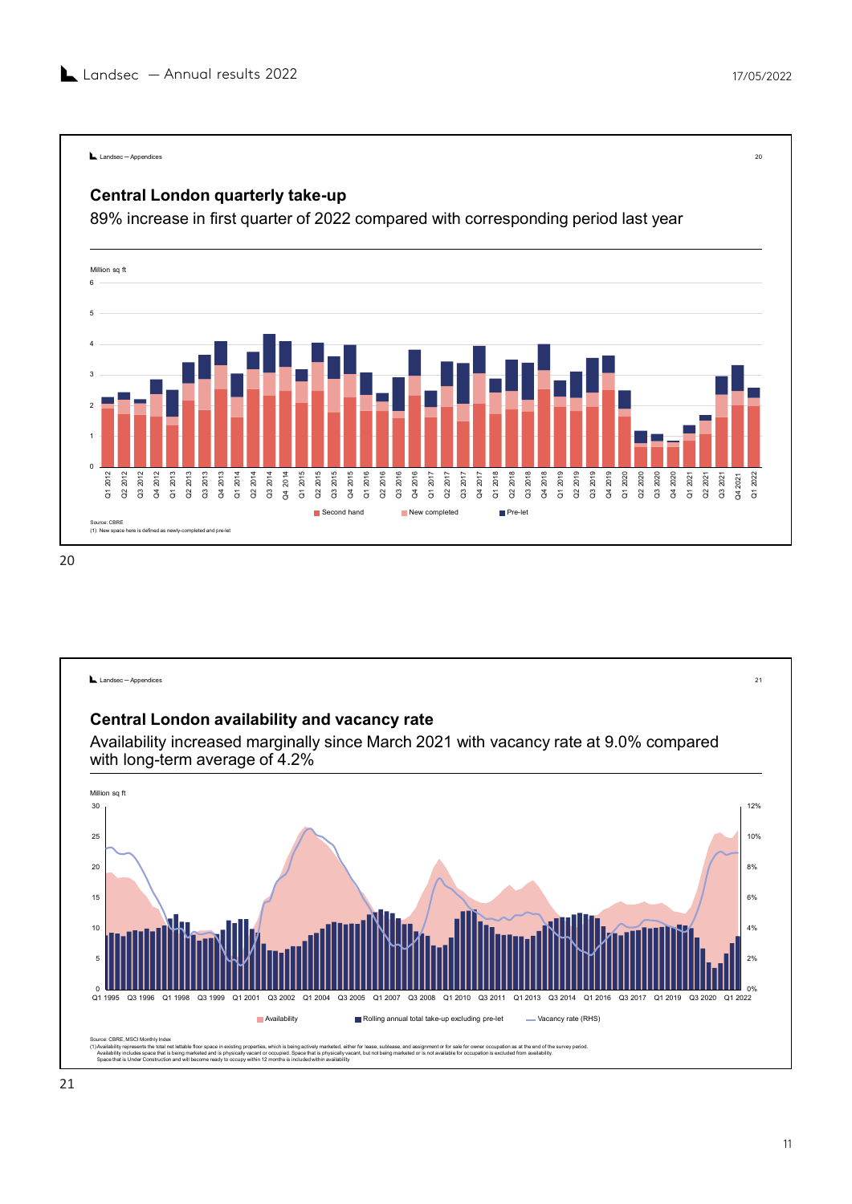![](_page_10_Figure_2.jpeg)

![](_page_10_Figure_4.jpeg)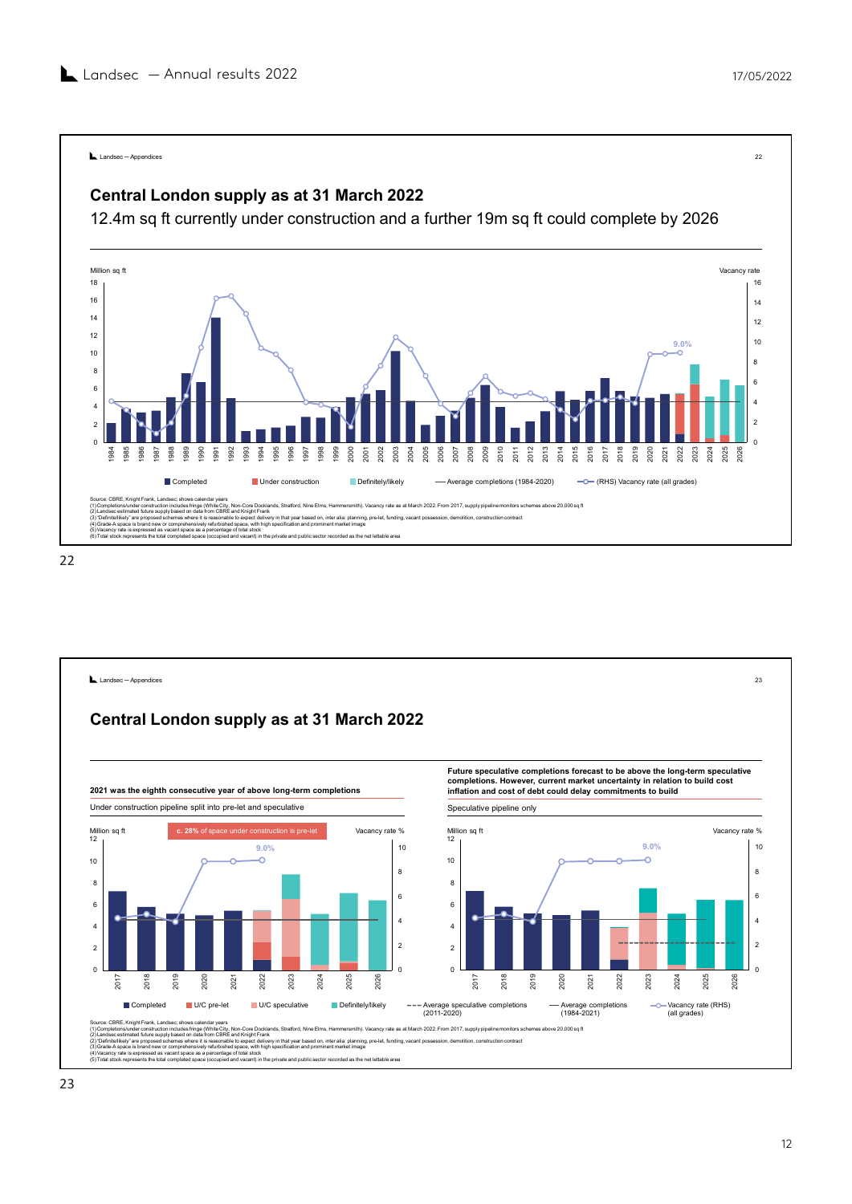![](_page_11_Figure_2.jpeg)

![](_page_11_Figure_4.jpeg)